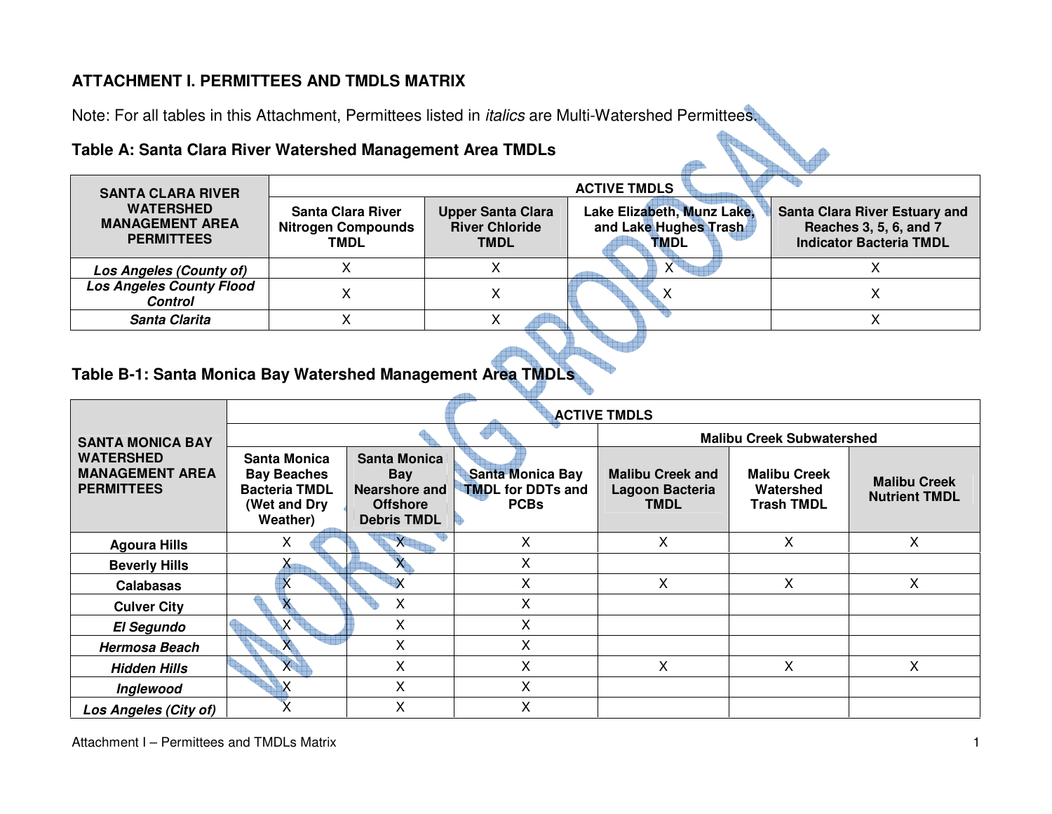#### **ATTACHMENT I. PERMITTEES AND TMDLS MATRIX**

Note: For all tables in this Attachment, Permittees listed in italics are Multi-Watershed Permittees.

### **Table A: Santa Clara River Watershed Management Area TMDLs**

| <b>SANTA CLARA RIVER</b>                                        | <b>ACTIVE TMDLS</b>                                    |                                                                  |                                                                    |                                                                                                  |  |  |  |  |
|-----------------------------------------------------------------|--------------------------------------------------------|------------------------------------------------------------------|--------------------------------------------------------------------|--------------------------------------------------------------------------------------------------|--|--|--|--|
| <b>WATERSHED</b><br><b>MANAGEMENT AREA</b><br><b>PERMITTEES</b> | Santa Clara River<br><b>Nitrogen Compounds</b><br>TMDL | <b>Upper Santa Clara</b><br><b>River Chloride</b><br><b>TMDL</b> | Lake Elizabeth, Munz Lake,<br>and Lake Hughes Trash<br><b>TMDL</b> | <b>Santa Clara River Estuary and</b><br>Reaches 3, 5, 6, and 7<br><b>Indicator Bacteria TMDL</b> |  |  |  |  |
| Los Angeles (County of)                                         |                                                        |                                                                  | $X^{\bullet}$                                                      |                                                                                                  |  |  |  |  |
| <b>Los Angeles County Flood</b><br><b>Control</b>               |                                                        |                                                                  |                                                                    |                                                                                                  |  |  |  |  |
| Santa Clarita                                                   |                                                        |                                                                  |                                                                    |                                                                                                  |  |  |  |  |

#### **Table B-1: Santa Monica Bay Watershed Management Area TMDLs**

|                                                                 |                                                                                               | <b>ACTIVE TMDLS</b>                                                                         |                                                                    |                                                           |                                                       |                                             |  |  |  |  |  |
|-----------------------------------------------------------------|-----------------------------------------------------------------------------------------------|---------------------------------------------------------------------------------------------|--------------------------------------------------------------------|-----------------------------------------------------------|-------------------------------------------------------|---------------------------------------------|--|--|--|--|--|
| <b>SANTA MONICA BAY</b>                                         |                                                                                               |                                                                                             |                                                                    | <b>Malibu Creek Subwatershed</b>                          |                                                       |                                             |  |  |  |  |  |
| <b>WATERSHED</b><br><b>MANAGEMENT AREA</b><br><b>PERMITTEES</b> | <b>Santa Monica</b><br><b>Bay Beaches</b><br><b>Bacteria TMDL</b><br>(Wet and Dry<br>Weather) | <b>Santa Monica</b><br><b>Bay</b><br>Nearshore and<br><b>Offshore</b><br><b>Debris TMDL</b> | <b>Santa Monica Bay</b><br><b>TMDL for DDTs and</b><br><b>PCBs</b> | <b>Malibu Creek and</b><br>Lagoon Bacteria<br><b>TMDL</b> | <b>Malibu Creek</b><br>Watershed<br><b>Trash TMDL</b> | <b>Malibu Creek</b><br><b>Nutrient TMDL</b> |  |  |  |  |  |
| <b>Agoura Hills</b>                                             | X                                                                                             | X                                                                                           | Χ                                                                  | X                                                         | X.                                                    | X                                           |  |  |  |  |  |
| <b>Beverly Hills</b>                                            | $\mathsf{X}_{\blacksquare}$                                                                   |                                                                                             | Χ                                                                  |                                                           |                                                       |                                             |  |  |  |  |  |
| <b>Calabasas</b>                                                | X                                                                                             |                                                                                             | Χ                                                                  | X                                                         | $\mathsf{X}$                                          | X.                                          |  |  |  |  |  |
| <b>Culver City</b>                                              |                                                                                               | X                                                                                           | X                                                                  |                                                           |                                                       |                                             |  |  |  |  |  |
| <b>El Segundo</b>                                               | X.                                                                                            | X                                                                                           | x                                                                  |                                                           |                                                       |                                             |  |  |  |  |  |
| <b>Hermosa Beach</b>                                            |                                                                                               | X                                                                                           | X                                                                  |                                                           |                                                       |                                             |  |  |  |  |  |
| <b>Hidden Hills</b>                                             | <b>X</b>                                                                                      | X                                                                                           | X                                                                  | X                                                         | $\mathsf{X}$                                          | X.                                          |  |  |  |  |  |
| Inglewood                                                       |                                                                                               | X                                                                                           | Χ                                                                  |                                                           |                                                       |                                             |  |  |  |  |  |
| Los Angeles (City of)                                           |                                                                                               | X                                                                                           | Χ                                                                  |                                                           |                                                       |                                             |  |  |  |  |  |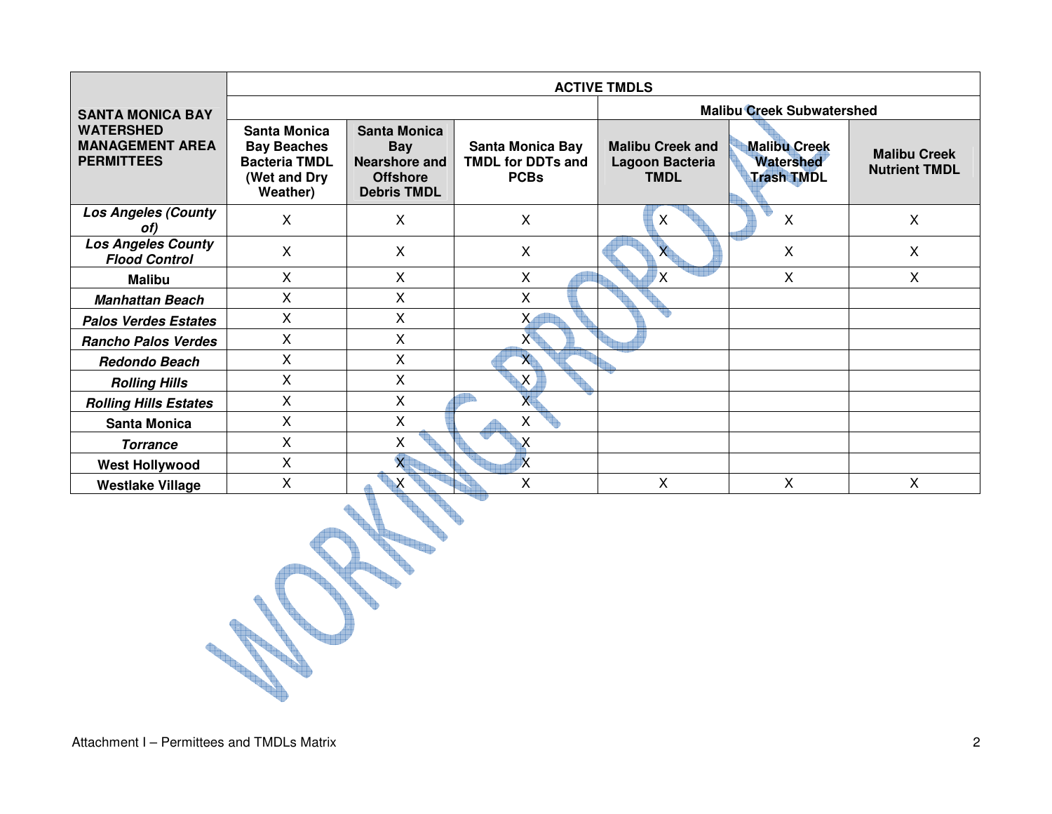|                                                                 |                                                                                        | <b>ACTIVE TMDLS</b>                                                                  |                                                                    |                                                           |                                                              |                                             |  |  |  |  |  |
|-----------------------------------------------------------------|----------------------------------------------------------------------------------------|--------------------------------------------------------------------------------------|--------------------------------------------------------------------|-----------------------------------------------------------|--------------------------------------------------------------|---------------------------------------------|--|--|--|--|--|
| <b>SANTA MONICA BAY</b>                                         |                                                                                        |                                                                                      |                                                                    | <b>Malibu Creek Subwatershed</b>                          |                                                              |                                             |  |  |  |  |  |
| <b>WATERSHED</b><br><b>MANAGEMENT AREA</b><br><b>PERMITTEES</b> | Santa Monica<br><b>Bay Beaches</b><br><b>Bacteria TMDL</b><br>(Wet and Dry<br>Weather) | <b>Santa Monica</b><br>Bay<br>Nearshore and<br><b>Offshore</b><br><b>Debris TMDL</b> | <b>Santa Monica Bay</b><br><b>TMDL for DDTs and</b><br><b>PCBs</b> | <b>Malibu Creek and</b><br>Lagoon Bacteria<br><b>TMDL</b> | <b>Malibu Creek</b><br><b>Watershed</b><br><b>Trash TMDL</b> | <b>Malibu Creek</b><br><b>Nutrient TMDL</b> |  |  |  |  |  |
| <b>Los Angeles (County</b><br>of)                               | X                                                                                      | X                                                                                    | X                                                                  | X                                                         | X                                                            | X                                           |  |  |  |  |  |
| <b>Los Angeles County</b><br><b>Flood Control</b>               | X                                                                                      | X                                                                                    | X                                                                  |                                                           | X                                                            | X                                           |  |  |  |  |  |
| <b>Malibu</b>                                                   | $\mathsf{X}$                                                                           | X                                                                                    | X                                                                  | X                                                         | $\mathsf{X}$                                                 | $\mathsf{X}$                                |  |  |  |  |  |
| <b>Manhattan Beach</b>                                          | $\mathsf{X}$                                                                           | X                                                                                    | Χ                                                                  |                                                           |                                                              |                                             |  |  |  |  |  |
| <b>Palos Verdes Estates</b>                                     | X                                                                                      | X                                                                                    | X                                                                  |                                                           |                                                              |                                             |  |  |  |  |  |
| <b>Rancho Palos Verdes</b>                                      | X                                                                                      | X                                                                                    | X                                                                  |                                                           |                                                              |                                             |  |  |  |  |  |
| <b>Redondo Beach</b>                                            | X                                                                                      | X                                                                                    | $\mathsf{X}$                                                       |                                                           |                                                              |                                             |  |  |  |  |  |
| <b>Rolling Hills</b>                                            | X                                                                                      | X                                                                                    | $\sf X$                                                            |                                                           |                                                              |                                             |  |  |  |  |  |
| <b>Rolling Hills Estates</b>                                    | $\mathsf{X}$                                                                           | X                                                                                    | X                                                                  |                                                           |                                                              |                                             |  |  |  |  |  |
| <b>Santa Monica</b>                                             | X                                                                                      | X                                                                                    | Χ                                                                  |                                                           |                                                              |                                             |  |  |  |  |  |
| <b>Torrance</b>                                                 | X                                                                                      | X                                                                                    | Χ                                                                  |                                                           |                                                              |                                             |  |  |  |  |  |
| <b>West Hollywood</b>                                           | X                                                                                      | $\overline{\mathsf{x}}$                                                              | $\overline{\mathsf{x}}$                                            |                                                           |                                                              |                                             |  |  |  |  |  |
| <b>Westlake Village</b>                                         | X                                                                                      |                                                                                      | X                                                                  | X                                                         | X.                                                           | $\sf X$                                     |  |  |  |  |  |

**The Street**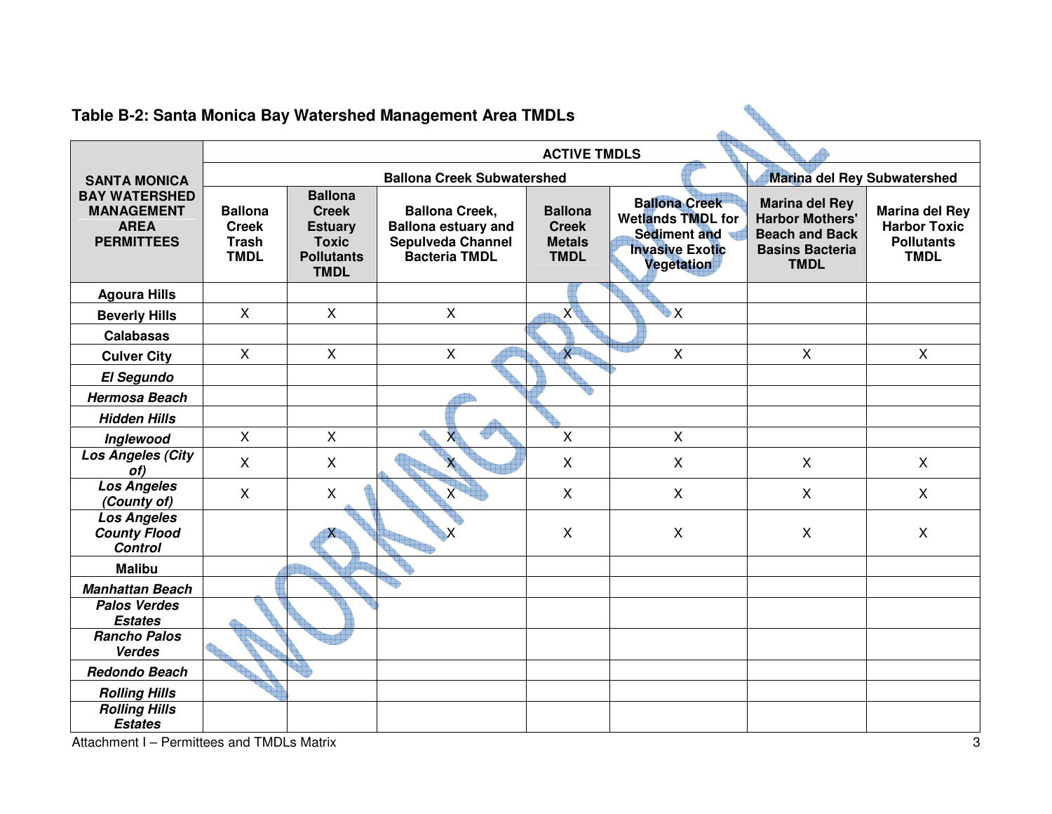|                                                                               |                                                               |                                                                                                      | Table B-2: Santa Monica Bay Watershed Management Area TMDLs                                             |                                                                |                                                                                                          |                                                                                                                   |                                                                           |  |  |  |
|-------------------------------------------------------------------------------|---------------------------------------------------------------|------------------------------------------------------------------------------------------------------|---------------------------------------------------------------------------------------------------------|----------------------------------------------------------------|----------------------------------------------------------------------------------------------------------|-------------------------------------------------------------------------------------------------------------------|---------------------------------------------------------------------------|--|--|--|
|                                                                               |                                                               |                                                                                                      |                                                                                                         | <b>ACTIVE TMDLS</b>                                            |                                                                                                          |                                                                                                                   |                                                                           |  |  |  |
| <b>SANTA MONICA</b>                                                           |                                                               | Marina del Rey Subwatershed<br><b>Ballona Creek Subwatershed</b>                                     |                                                                                                         |                                                                |                                                                                                          |                                                                                                                   |                                                                           |  |  |  |
| <b>BAY WATERSHED</b><br><b>MANAGEMENT</b><br><b>AREA</b><br><b>PERMITTEES</b> | <b>Ballona</b><br><b>Creek</b><br><b>Trash</b><br><b>TMDL</b> | <b>Ballona</b><br><b>Creek</b><br><b>Estuary</b><br><b>Toxic</b><br><b>Pollutants</b><br><b>TMDL</b> | <b>Ballona Creek,</b><br><b>Ballona estuary and</b><br><b>Sepulveda Channel</b><br><b>Bacteria TMDL</b> | <b>Ballona</b><br><b>Creek</b><br><b>Metals</b><br><b>TMDL</b> | <b>Ballona Creek</b><br><b>Wetlands TMDL for</b><br>Sediment and<br><b>Invasive Exotic</b><br>Vegetation | <b>Marina del Rey</b><br><b>Harbor Mothers'</b><br><b>Beach and Back</b><br><b>Basins Bacteria</b><br><b>TMDL</b> | Marina del Rey<br><b>Harbor Toxic</b><br><b>Pollutants</b><br><b>TMDL</b> |  |  |  |
| <b>Agoura Hills</b>                                                           |                                                               |                                                                                                      |                                                                                                         |                                                                |                                                                                                          |                                                                                                                   |                                                                           |  |  |  |
| <b>Beverly Hills</b>                                                          | $\mathsf{X}$                                                  | $\mathsf{X}$                                                                                         | $\mathsf{X}$                                                                                            | X                                                              | ₩X                                                                                                       |                                                                                                                   |                                                                           |  |  |  |
| <b>Calabasas</b>                                                              |                                                               |                                                                                                      |                                                                                                         |                                                                |                                                                                                          |                                                                                                                   |                                                                           |  |  |  |
| <b>Culver City</b>                                                            | $\pmb{\times}$                                                | $\pmb{\times}$                                                                                       | $\mathsf{X}$                                                                                            | $X^{\top}$                                                     | $\pmb{\times}$                                                                                           | $\mathsf{X}$                                                                                                      | $\mathsf{X}$                                                              |  |  |  |
| <b>El Segundo</b>                                                             |                                                               |                                                                                                      |                                                                                                         |                                                                |                                                                                                          |                                                                                                                   |                                                                           |  |  |  |
| <b>Hermosa Beach</b>                                                          |                                                               |                                                                                                      |                                                                                                         |                                                                |                                                                                                          |                                                                                                                   |                                                                           |  |  |  |
| <b>Hidden Hills</b>                                                           |                                                               |                                                                                                      |                                                                                                         |                                                                |                                                                                                          |                                                                                                                   |                                                                           |  |  |  |
| Inglewood                                                                     | $\mathsf{X}$                                                  | $\mathsf{X}$                                                                                         | $\mathsf{X}$                                                                                            | $\overline{\mathsf{x}}$                                        | $\mathsf{X}$                                                                                             |                                                                                                                   |                                                                           |  |  |  |
| <b>Los Angeles (City</b><br>of)                                               | $\mathsf{X}$                                                  | $\mathsf{X}$                                                                                         |                                                                                                         | $\mathsf{X}$                                                   | $\mathsf{X}$                                                                                             | $\mathsf{X}$                                                                                                      | $\mathsf{X}$                                                              |  |  |  |
| <b>Los Angeles</b><br>(County of)                                             | X                                                             | $\mathsf{X}$                                                                                         |                                                                                                         | $\mathsf{X}$                                                   | X                                                                                                        | X                                                                                                                 | $\mathsf{X}$                                                              |  |  |  |
| <b>Los Angeles</b><br><b>County Flood</b><br><b>Control</b>                   |                                                               |                                                                                                      |                                                                                                         | $\mathsf{X}$                                                   | X                                                                                                        | X                                                                                                                 | X                                                                         |  |  |  |
| <b>Malibu</b>                                                                 |                                                               |                                                                                                      |                                                                                                         |                                                                |                                                                                                          |                                                                                                                   |                                                                           |  |  |  |
| <b>Manhattan Beach</b>                                                        |                                                               |                                                                                                      |                                                                                                         |                                                                |                                                                                                          |                                                                                                                   |                                                                           |  |  |  |
| <b>Palos Verdes</b><br><b>Estates</b>                                         |                                                               |                                                                                                      |                                                                                                         |                                                                |                                                                                                          |                                                                                                                   |                                                                           |  |  |  |
| <b>Rancho Palos</b><br><b>Verdes</b>                                          |                                                               |                                                                                                      |                                                                                                         |                                                                |                                                                                                          |                                                                                                                   |                                                                           |  |  |  |
| <b>Redondo Beach</b>                                                          |                                                               |                                                                                                      |                                                                                                         |                                                                |                                                                                                          |                                                                                                                   |                                                                           |  |  |  |
| <b>Rolling Hills</b>                                                          |                                                               |                                                                                                      |                                                                                                         |                                                                |                                                                                                          |                                                                                                                   |                                                                           |  |  |  |
| <b>Rolling Hills</b><br><b>Estates</b>                                        |                                                               |                                                                                                      |                                                                                                         |                                                                |                                                                                                          |                                                                                                                   |                                                                           |  |  |  |

# **Table B-2: Santa Monica Bay Watershed Management Area TMDLs**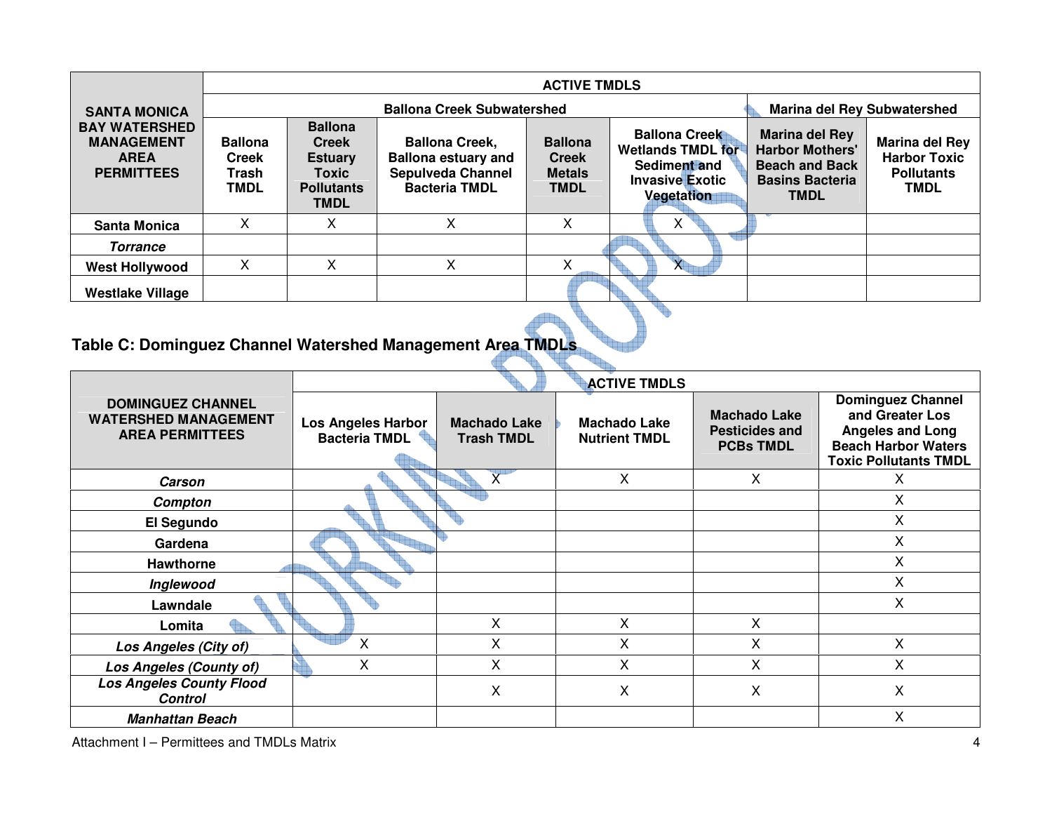|                                                                               | <b>ACTIVE TMDLS</b>                                    |                                                                                               |                                                                                                         |                                                                |                                                                                                          |                                                                                                                   |                                                                                  |  |  |
|-------------------------------------------------------------------------------|--------------------------------------------------------|-----------------------------------------------------------------------------------------------|---------------------------------------------------------------------------------------------------------|----------------------------------------------------------------|----------------------------------------------------------------------------------------------------------|-------------------------------------------------------------------------------------------------------------------|----------------------------------------------------------------------------------|--|--|
| <b>SANTA MONICA</b>                                                           |                                                        |                                                                                               | <b>Marina del Rey Subwatershed</b>                                                                      |                                                                |                                                                                                          |                                                                                                                   |                                                                                  |  |  |
| <b>BAY WATERSHED</b><br><b>MANAGEMENT</b><br><b>AREA</b><br><b>PERMITTEES</b> | <b>Ballona</b><br><b>Creek</b><br>Trash<br><b>TMDL</b> | <b>Ballona</b><br><b>Creek</b><br><b>Estuary</b><br>Toxic<br><b>Pollutants</b><br><b>TMDL</b> | <b>Ballona Creek,</b><br><b>Ballona estuary and</b><br><b>Sepulveda Channel</b><br><b>Bacteria TMDL</b> | <b>Ballona</b><br><b>Creek</b><br><b>Metals</b><br><b>TMDL</b> | <b>Ballona Creek</b><br><b>Wetlands TMDL for</b><br>Sediment and<br><b>Invasive Exotic</b><br>Vegetation | <b>Marina del Rey</b><br><b>Harbor Mothers'</b><br><b>Beach and Back</b><br><b>Basins Bacteria</b><br><b>TMDL</b> | <b>Marina del Rey</b><br><b>Harbor Toxic</b><br><b>Pollutants</b><br><b>TMDL</b> |  |  |
| <b>Santa Monica</b>                                                           | X                                                      | Χ                                                                                             | X                                                                                                       | X                                                              | х                                                                                                        |                                                                                                                   |                                                                                  |  |  |
| <b>Torrance</b>                                                               |                                                        |                                                                                               |                                                                                                         |                                                                |                                                                                                          |                                                                                                                   |                                                                                  |  |  |
| <b>West Hollywood</b>                                                         | X                                                      | Χ                                                                                             | X                                                                                                       | X                                                              | X                                                                                                        |                                                                                                                   |                                                                                  |  |  |
| <b>Westlake Village</b>                                                       |                                                        |                                                                                               |                                                                                                         |                                                                |                                                                                                          |                                                                                                                   |                                                                                  |  |  |
|                                                                               |                                                        |                                                                                               |                                                                                                         |                                                                |                                                                                                          |                                                                                                                   |                                                                                  |  |  |

### **Table C: Dominguez Channel Watershed Management Area TMDLs**

|                                                                                   |                                                   |                                          | <b>ACTIVE TMDLS</b>                         |                                                                  |                                                                                                                                      |
|-----------------------------------------------------------------------------------|---------------------------------------------------|------------------------------------------|---------------------------------------------|------------------------------------------------------------------|--------------------------------------------------------------------------------------------------------------------------------------|
| <b>DOMINGUEZ CHANNEL</b><br><b>WATERSHED MANAGEMENT</b><br><b>AREA PERMITTEES</b> | <b>Los Angeles Harbor</b><br><b>Bacteria TMDL</b> | <b>Machado Lake</b><br><b>Trash TMDL</b> | <b>Machado Lake</b><br><b>Nutrient TMDL</b> | <b>Machado Lake</b><br><b>Pesticides and</b><br><b>PCBs TMDL</b> | <b>Dominguez Channel</b><br>and Greater Los<br><b>Angeles and Long</b><br><b>Beach Harbor Waters</b><br><b>Toxic Pollutants TMDL</b> |
| Carson                                                                            |                                                   |                                          | X                                           | X                                                                | х                                                                                                                                    |
| Compton                                                                           |                                                   |                                          |                                             |                                                                  | X                                                                                                                                    |
| El Segundo                                                                        |                                                   |                                          |                                             |                                                                  | $\mathsf{X}$                                                                                                                         |
| Gardena                                                                           |                                                   |                                          |                                             |                                                                  | $\mathsf{X}$                                                                                                                         |
| <b>Hawthorne</b>                                                                  |                                                   |                                          |                                             |                                                                  | $\mathsf{X}$                                                                                                                         |
| Inglewood                                                                         |                                                   |                                          |                                             |                                                                  | X                                                                                                                                    |
| Lawndale                                                                          |                                                   |                                          |                                             |                                                                  | X                                                                                                                                    |
| Lomita                                                                            |                                                   | X                                        | X                                           | X                                                                |                                                                                                                                      |
| Los Angeles (City of)                                                             | X                                                 | X                                        | X                                           | Χ                                                                | X                                                                                                                                    |
| <b>Los Angeles (County of)</b>                                                    | X                                                 | X                                        | X                                           | Χ                                                                | X                                                                                                                                    |
| <b>Los Angeles County Flood</b><br><b>Control</b>                                 |                                                   | X                                        | X                                           | X                                                                | X                                                                                                                                    |
| <b>Manhattan Beach</b>                                                            |                                                   |                                          |                                             |                                                                  | X                                                                                                                                    |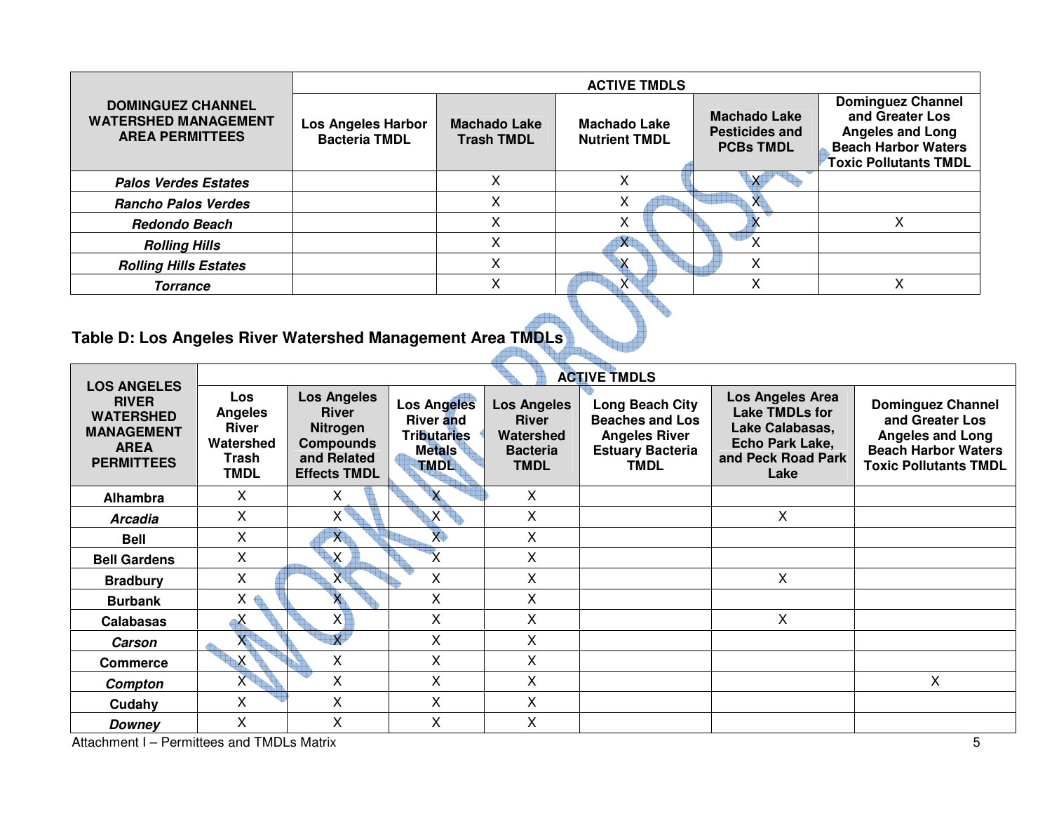|                                                                                   | <b>ACTIVE TMDLS</b>                               |                                          |                                             |                                                                  |                                                                                                                                      |  |  |  |  |
|-----------------------------------------------------------------------------------|---------------------------------------------------|------------------------------------------|---------------------------------------------|------------------------------------------------------------------|--------------------------------------------------------------------------------------------------------------------------------------|--|--|--|--|
| <b>DOMINGUEZ CHANNEL</b><br><b>WATERSHED MANAGEMENT</b><br><b>AREA PERMITTEES</b> | <b>Los Angeles Harbor</b><br><b>Bacteria TMDL</b> | <b>Machado Lake</b><br><b>Trash TMDL</b> | <b>Machado Lake</b><br><b>Nutrient TMDL</b> | <b>Machado Lake</b><br><b>Pesticides and</b><br><b>PCBs TMDL</b> | <b>Dominguez Channel</b><br>and Greater Los<br><b>Angeles and Long</b><br><b>Beach Harbor Waters</b><br><b>Toxic Pollutants TMDL</b> |  |  |  |  |
| <b>Palos Verdes Estates</b>                                                       |                                                   |                                          |                                             |                                                                  |                                                                                                                                      |  |  |  |  |
| <b>Rancho Palos Verdes</b>                                                        |                                                   |                                          | х                                           | X                                                                |                                                                                                                                      |  |  |  |  |
| <b>Redondo Beach</b>                                                              |                                                   |                                          | х                                           |                                                                  |                                                                                                                                      |  |  |  |  |
| <b>Rolling Hills</b>                                                              |                                                   | ⋏                                        | X                                           | ∧                                                                |                                                                                                                                      |  |  |  |  |
| <b>Rolling Hills Estates</b>                                                      |                                                   |                                          |                                             | X                                                                |                                                                                                                                      |  |  |  |  |
| <b>Torrance</b>                                                                   |                                                   |                                          |                                             |                                                                  |                                                                                                                                      |  |  |  |  |

#### **Table D: Los Angeles River Watershed Management Area TMDLs**

|                                                                                                                 | <b>ACTIVE TMDLS</b>                                                 |                                                                                                                 |                                                                                              |                                                                                   |                                                                                                             |                                                                                                               |                                                                                                                                      |  |
|-----------------------------------------------------------------------------------------------------------------|---------------------------------------------------------------------|-----------------------------------------------------------------------------------------------------------------|----------------------------------------------------------------------------------------------|-----------------------------------------------------------------------------------|-------------------------------------------------------------------------------------------------------------|---------------------------------------------------------------------------------------------------------------|--------------------------------------------------------------------------------------------------------------------------------------|--|
| <b>LOS ANGELES</b><br><b>RIVER</b><br><b>WATERSHED</b><br><b>MANAGEMENT</b><br><b>AREA</b><br><b>PERMITTEES</b> | Los<br><b>Angeles</b><br>River<br>Watershed<br>Trash<br><b>TMDL</b> | <b>Los Angeles</b><br><b>River</b><br><b>Nitrogen</b><br><b>Compounds</b><br>and Related<br><b>Effects TMDL</b> | <b>Los Angeles</b><br><b>River and</b><br><b>Tributaries</b><br><b>Metals</b><br><b>TMDL</b> | <b>Los Angeles</b><br><b>River</b><br>Watershed<br><b>Bacteria</b><br><b>TMDL</b> | Long Beach City<br><b>Beaches and Los</b><br><b>Angeles River</b><br><b>Estuary Bacteria</b><br><b>TMDL</b> | Los Angeles Area<br><b>Lake TMDLs for</b><br>Lake Calabasas,<br>Echo Park Lake,<br>and Peck Road Park<br>Lake | <b>Dominguez Channel</b><br>and Greater Los<br><b>Angeles and Long</b><br><b>Beach Harbor Waters</b><br><b>Toxic Pollutants TMDL</b> |  |
| Alhambra                                                                                                        | х                                                                   | X.                                                                                                              | $\mathsf{X}$                                                                                 | X                                                                                 |                                                                                                             |                                                                                                               |                                                                                                                                      |  |
| <b>Arcadia</b>                                                                                                  | X                                                                   | $X^{\top}$                                                                                                      | $\mathsf{X}$                                                                                 | X                                                                                 |                                                                                                             | X                                                                                                             |                                                                                                                                      |  |
| <b>Bell</b>                                                                                                     | Χ                                                                   | X                                                                                                               | $\overline{X}$                                                                               | X                                                                                 |                                                                                                             |                                                                                                               |                                                                                                                                      |  |
| <b>Bell Gardens</b>                                                                                             | Χ                                                                   | $\overline{\mathsf{X}}$                                                                                         |                                                                                              | X                                                                                 |                                                                                                             |                                                                                                               |                                                                                                                                      |  |
| <b>Bradbury</b>                                                                                                 | X                                                                   | X                                                                                                               | X                                                                                            | X                                                                                 |                                                                                                             | X                                                                                                             |                                                                                                                                      |  |
| <b>Burbank</b>                                                                                                  | $X \oplus$                                                          |                                                                                                                 | X                                                                                            | X                                                                                 |                                                                                                             |                                                                                                               |                                                                                                                                      |  |
| <b>Calabasas</b>                                                                                                | $\mathbf{x}$                                                        | X                                                                                                               | X                                                                                            | X                                                                                 |                                                                                                             | X                                                                                                             |                                                                                                                                      |  |
| <b>Carson</b>                                                                                                   |                                                                     | Ÿ                                                                                                               | X                                                                                            | X                                                                                 |                                                                                                             |                                                                                                               |                                                                                                                                      |  |
| <b>Commerce</b>                                                                                                 | X                                                                   | X                                                                                                               | X                                                                                            | X                                                                                 |                                                                                                             |                                                                                                               |                                                                                                                                      |  |
| Compton                                                                                                         | $X^{\dagger}$                                                       | X                                                                                                               | X                                                                                            | X                                                                                 |                                                                                                             |                                                                                                               | X                                                                                                                                    |  |
| Cudahy                                                                                                          | $\mathsf{X}$                                                        | X                                                                                                               | X                                                                                            | X                                                                                 |                                                                                                             |                                                                                                               |                                                                                                                                      |  |
| Downey                                                                                                          | Χ                                                                   | X                                                                                                               | X                                                                                            | X                                                                                 |                                                                                                             |                                                                                                               |                                                                                                                                      |  |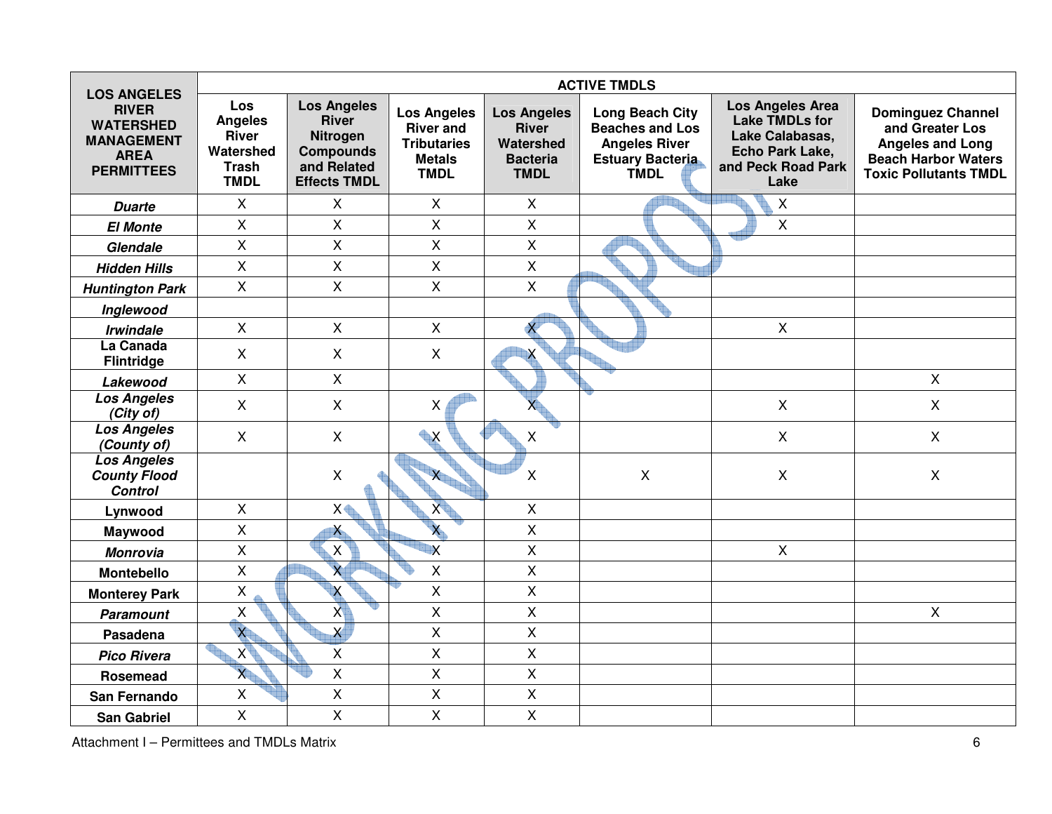| <b>LOS ANGELES</b>                                                                        |                                                                                   |                                                                                                          |                                                                                              |                                                                                   | <b>ACTIVE TMDLS</b>                                                                                                |                                                                                                               |                                                                                                                                      |
|-------------------------------------------------------------------------------------------|-----------------------------------------------------------------------------------|----------------------------------------------------------------------------------------------------------|----------------------------------------------------------------------------------------------|-----------------------------------------------------------------------------------|--------------------------------------------------------------------------------------------------------------------|---------------------------------------------------------------------------------------------------------------|--------------------------------------------------------------------------------------------------------------------------------------|
| <b>RIVER</b><br><b>WATERSHED</b><br><b>MANAGEMENT</b><br><b>AREA</b><br><b>PERMITTEES</b> | Los<br><b>Angeles</b><br><b>River</b><br>Watershed<br><b>Trash</b><br><b>TMDL</b> | <b>Los Angeles</b><br><b>River</b><br>Nitrogen<br><b>Compounds</b><br>and Related<br><b>Effects TMDL</b> | <b>Los Angeles</b><br><b>River and</b><br><b>Tributaries</b><br><b>Metals</b><br><b>TMDL</b> | <b>Los Angeles</b><br><b>River</b><br>Watershed<br><b>Bacteria</b><br><b>TMDL</b> | <b>Long Beach City</b><br><b>Beaches and Los</b><br><b>Angeles River</b><br><b>Estuary Bacteria</b><br><b>TMDL</b> | Los Angeles Area<br><b>Lake TMDLs for</b><br>Lake Calabasas,<br>Echo Park Lake,<br>and Peck Road Park<br>Lake | <b>Dominguez Channel</b><br>and Greater Los<br><b>Angeles and Long</b><br><b>Beach Harbor Waters</b><br><b>Toxic Pollutants TMDL</b> |
| <b>Duarte</b>                                                                             | X                                                                                 | X                                                                                                        | X                                                                                            | X                                                                                 |                                                                                                                    | X                                                                                                             |                                                                                                                                      |
| <b>El Monte</b>                                                                           | $\mathsf{X}$                                                                      | $\mathsf{X}$                                                                                             | $\mathsf{X}$                                                                                 | $\mathsf{X}$                                                                      |                                                                                                                    | $\mathsf{X}$                                                                                                  |                                                                                                                                      |
| Glendale                                                                                  | $\mathsf{X}$                                                                      | X                                                                                                        | $\mathsf{X}$                                                                                 | $\mathsf X$                                                                       |                                                                                                                    |                                                                                                               |                                                                                                                                      |
| <b>Hidden Hills</b>                                                                       | $\pmb{\times}$                                                                    | $\pmb{\times}$                                                                                           | $\pmb{\times}$                                                                               | $\mathsf X$                                                                       |                                                                                                                    |                                                                                                               |                                                                                                                                      |
| <b>Huntington Park</b>                                                                    | $\mathsf{X}$                                                                      | $\mathsf{X}$                                                                                             | $\mathsf{X}$                                                                                 | $\mathsf{X}$                                                                      |                                                                                                                    |                                                                                                               |                                                                                                                                      |
| Inglewood                                                                                 |                                                                                   |                                                                                                          |                                                                                              |                                                                                   |                                                                                                                    |                                                                                                               |                                                                                                                                      |
| <b>Irwindale</b>                                                                          | $\mathsf{X}$                                                                      | $\mathsf{X}$                                                                                             | $\mathsf{X}$                                                                                 |                                                                                   |                                                                                                                    | $\pmb{\times}$                                                                                                |                                                                                                                                      |
| La Canada<br><b>Flintridge</b>                                                            | $\mathsf{X}$                                                                      | X                                                                                                        | $\mathsf{X}$                                                                                 |                                                                                   |                                                                                                                    |                                                                                                               |                                                                                                                                      |
| Lakewood                                                                                  | $\pmb{\times}$                                                                    | $\pmb{\times}$                                                                                           |                                                                                              |                                                                                   |                                                                                                                    |                                                                                                               | $\mathsf{X}$                                                                                                                         |
| <b>Los Angeles</b><br>(City of)                                                           | $\mathsf{X}$                                                                      | $\mathsf{X}$                                                                                             | X                                                                                            |                                                                                   |                                                                                                                    | $\pmb{\times}$                                                                                                | $\mathsf{X}$                                                                                                                         |
| <b>Los Angeles</b><br>(County of)                                                         | $\mathsf{X}$                                                                      | $\mathsf{X}$                                                                                             | $\blacktriangle$                                                                             | $\pmb{\times}$                                                                    |                                                                                                                    | $\mathsf{X}$                                                                                                  | $\mathsf{X}$                                                                                                                         |
| <b>Los Angeles</b><br><b>County Flood</b><br><b>Control</b>                               |                                                                                   | $\pmb{\times}$                                                                                           | X                                                                                            | $\pmb{\times}$                                                                    | $\pmb{\times}$                                                                                                     | $\pmb{\times}$                                                                                                | $\mathsf X$                                                                                                                          |
| Lynwood                                                                                   | $\mathsf{X}$                                                                      | X♦                                                                                                       | X                                                                                            | $\pmb{\times}$                                                                    |                                                                                                                    |                                                                                                               |                                                                                                                                      |
| Maywood                                                                                   | $\mathsf{X}$                                                                      | $\boldsymbol{\lambda}$                                                                                   | $\overline{\mathsf{x}}$                                                                      | $\mathsf X$                                                                       |                                                                                                                    |                                                                                                               |                                                                                                                                      |
| <b>Monrovia</b>                                                                           | $\mathsf{X}$                                                                      | $\mathsf{X}$                                                                                             | $\overline{\mathsf{X}}$                                                                      | $\sf X$                                                                           |                                                                                                                    | $\mathsf{X}$                                                                                                  |                                                                                                                                      |
| <b>Montebello</b>                                                                         | $\mathsf{X}$                                                                      | $\overline{\mathsf{x}}$                                                                                  | $\mathsf{X}$                                                                                 | $\mathsf{X}$                                                                      |                                                                                                                    |                                                                                                               |                                                                                                                                      |
| <b>Monterey Park</b>                                                                      | $\mathsf X$                                                                       | X                                                                                                        | X                                                                                            | $\mathsf X$                                                                       |                                                                                                                    |                                                                                                               |                                                                                                                                      |
| <b>Paramount</b>                                                                          | X                                                                                 | $\overline{X}$                                                                                           | $\overline{X}$                                                                               | $\mathsf{X}$                                                                      |                                                                                                                    |                                                                                                               | $\mathsf{X}$                                                                                                                         |
| Pasadena                                                                                  | $\overline{\mathsf{x}}$                                                           | $\boldsymbol{\mathsf{X}}$                                                                                | $\pmb{\times}$                                                                               | $\mathsf X$                                                                       |                                                                                                                    |                                                                                                               |                                                                                                                                      |
| <b>Pico Rivera</b>                                                                        | $X^{\prime}$                                                                      | X                                                                                                        | $\overline{\mathsf{X}}$                                                                      | $\mathsf{X}$                                                                      |                                                                                                                    |                                                                                                               |                                                                                                                                      |
| Rosemead                                                                                  | $\overline{X}$                                                                    | $\mathsf{X}$                                                                                             | $\mathsf{X}$                                                                                 | $\mathsf{X}$                                                                      |                                                                                                                    |                                                                                                               |                                                                                                                                      |
| San Fernando                                                                              | $\pmb{\times}$                                                                    | X                                                                                                        | $\pmb{\times}$                                                                               | X                                                                                 |                                                                                                                    |                                                                                                               |                                                                                                                                      |
| <b>San Gabriel</b>                                                                        | $\mathsf{X}$                                                                      | $\overline{\mathsf{X}}$                                                                                  | $\overline{X}$                                                                               | $\sf X$                                                                           |                                                                                                                    |                                                                                                               |                                                                                                                                      |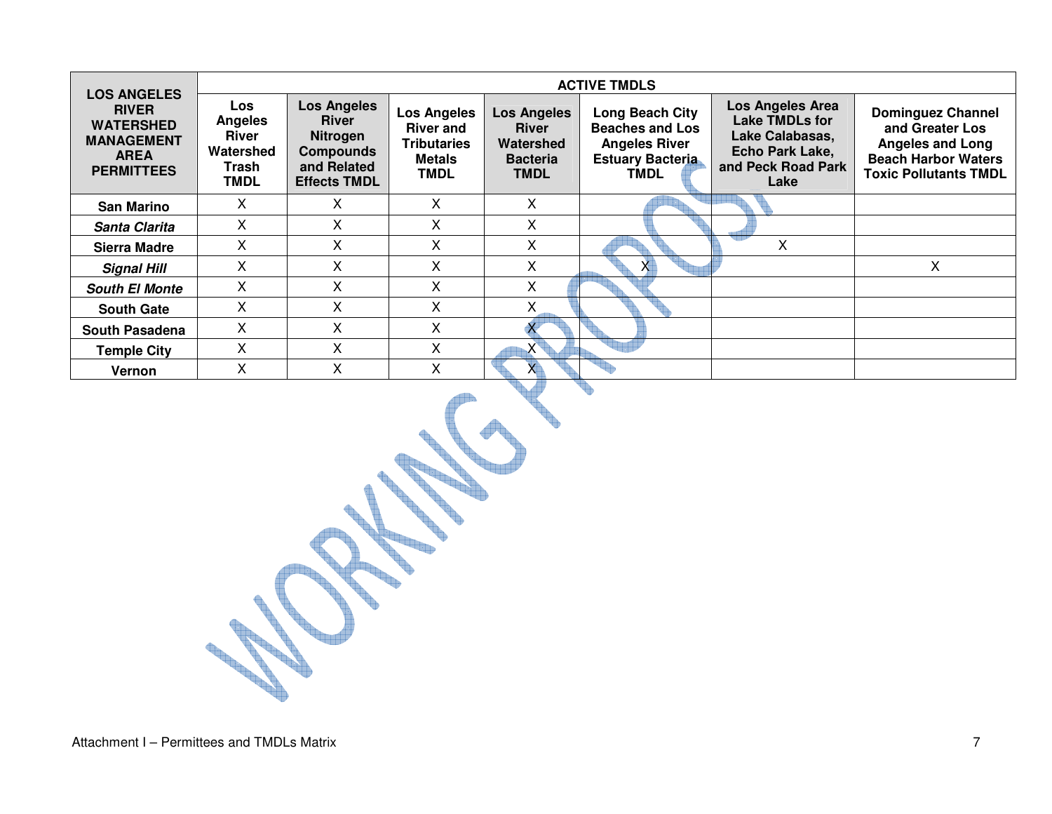| <b>LOS ANGELES</b>                                                                        |                                                                            |                                                                                                                 |                                                                                              |                                                                                   | <b>ACTIVE TMDLS</b>                                                                                  |                                                                                                               |                                                                                                                                      |
|-------------------------------------------------------------------------------------------|----------------------------------------------------------------------------|-----------------------------------------------------------------------------------------------------------------|----------------------------------------------------------------------------------------------|-----------------------------------------------------------------------------------|------------------------------------------------------------------------------------------------------|---------------------------------------------------------------------------------------------------------------|--------------------------------------------------------------------------------------------------------------------------------------|
| <b>RIVER</b><br><b>WATERSHED</b><br><b>MANAGEMENT</b><br><b>AREA</b><br><b>PERMITTEES</b> | <b>Los</b><br><b>Angeles</b><br>River<br>Watershed<br>Trash<br><b>TMDL</b> | <b>Los Angeles</b><br><b>River</b><br><b>Nitrogen</b><br><b>Compounds</b><br>and Related<br><b>Effects TMDL</b> | <b>Los Angeles</b><br><b>River and</b><br><b>Tributaries</b><br><b>Metals</b><br><b>TMDL</b> | <b>Los Angeles</b><br><b>River</b><br>Watershed<br><b>Bacteria</b><br><b>TMDL</b> | Long Beach City<br><b>Beaches and Los</b><br><b>Angeles River</b><br><b>Estuary Bacteria</b><br>TMDL | <b>Los Angeles Area</b><br>Lake TMDLs for<br>Lake Calabasas,<br>Echo Park Lake,<br>and Peck Road Park<br>Lake | <b>Dominguez Channel</b><br>and Greater Los<br><b>Angeles and Long</b><br><b>Beach Harbor Waters</b><br><b>Toxic Pollutants TMDL</b> |
| <b>San Marino</b>                                                                         | х                                                                          | x                                                                                                               | X                                                                                            | Χ                                                                                 |                                                                                                      |                                                                                                               |                                                                                                                                      |
| Santa Clarita                                                                             | X                                                                          | X                                                                                                               | X                                                                                            | X                                                                                 |                                                                                                      |                                                                                                               |                                                                                                                                      |
| <b>Sierra Madre</b>                                                                       | X                                                                          | X                                                                                                               | X                                                                                            | X                                                                                 |                                                                                                      | X                                                                                                             |                                                                                                                                      |
| <b>Signal Hill</b>                                                                        | X                                                                          | X                                                                                                               | X                                                                                            | Χ                                                                                 | $\mathsf{X}$                                                                                         |                                                                                                               | X                                                                                                                                    |
| <b>South El Monte</b>                                                                     | X                                                                          | X                                                                                                               | X                                                                                            | X                                                                                 |                                                                                                      |                                                                                                               |                                                                                                                                      |
| <b>South Gate</b>                                                                         | X                                                                          | X.                                                                                                              | X                                                                                            | X                                                                                 |                                                                                                      |                                                                                                               |                                                                                                                                      |
| South Pasadena                                                                            | X                                                                          | X                                                                                                               | X                                                                                            |                                                                                   |                                                                                                      |                                                                                                               |                                                                                                                                      |
| <b>Temple City</b>                                                                        | X                                                                          | X                                                                                                               | X                                                                                            | $\mathsf{X}^{\intercal}$                                                          |                                                                                                      |                                                                                                               |                                                                                                                                      |
| Vernon                                                                                    | X                                                                          | X                                                                                                               | X                                                                                            | $\times$                                                                          |                                                                                                      |                                                                                                               |                                                                                                                                      |
|                                                                                           |                                                                            |                                                                                                                 |                                                                                              |                                                                                   |                                                                                                      |                                                                                                               |                                                                                                                                      |

in.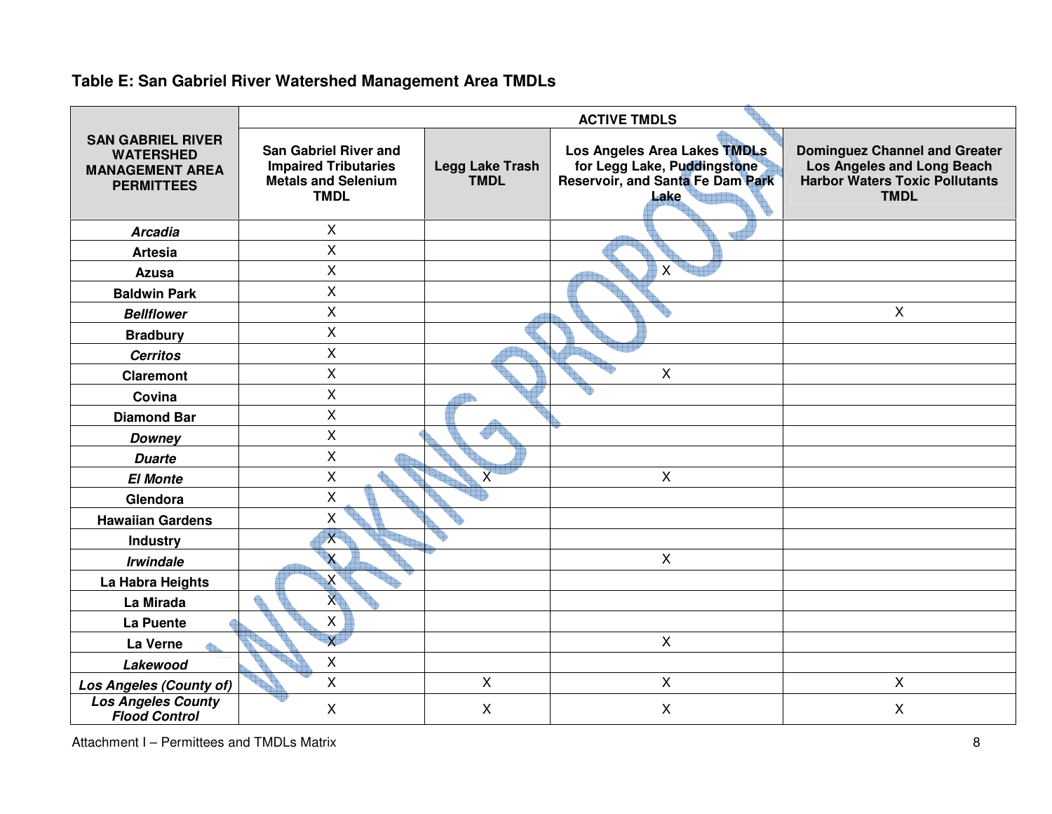### **Table E: San Gabriel River Watershed Management Area TMDLs**

|                                                                                             | <b>ACTIVE TMDLS</b>                                                                                      |                                       |                                                                                                                |                                                                                                                            |  |  |  |  |  |
|---------------------------------------------------------------------------------------------|----------------------------------------------------------------------------------------------------------|---------------------------------------|----------------------------------------------------------------------------------------------------------------|----------------------------------------------------------------------------------------------------------------------------|--|--|--|--|--|
| <b>SAN GABRIEL RIVER</b><br><b>WATERSHED</b><br><b>MANAGEMENT AREA</b><br><b>PERMITTEES</b> | <b>San Gabriel River and</b><br><b>Impaired Tributaries</b><br><b>Metals and Selenium</b><br><b>TMDL</b> | <b>Legg Lake Trash</b><br><b>TMDL</b> | Los Angeles Area Lakes TMDLs<br>for Legg Lake, Puddingstone<br><b>Reservoir, and Santa Fe Dam Park</b><br>Lake | <b>Dominguez Channel and Greater</b><br>Los Angeles and Long Beach<br><b>Harbor Waters Toxic Pollutants</b><br><b>TMDL</b> |  |  |  |  |  |
| <b>Arcadia</b>                                                                              | X                                                                                                        |                                       |                                                                                                                |                                                                                                                            |  |  |  |  |  |
| <b>Artesia</b>                                                                              | X                                                                                                        |                                       |                                                                                                                |                                                                                                                            |  |  |  |  |  |
| <b>Azusa</b>                                                                                | X                                                                                                        |                                       | $\mathsf{X}$                                                                                                   |                                                                                                                            |  |  |  |  |  |
| <b>Baldwin Park</b>                                                                         | X                                                                                                        |                                       |                                                                                                                |                                                                                                                            |  |  |  |  |  |
| <b>Bellflower</b>                                                                           | X                                                                                                        |                                       |                                                                                                                | $\mathsf{X}$                                                                                                               |  |  |  |  |  |
| <b>Bradbury</b>                                                                             | X                                                                                                        |                                       |                                                                                                                |                                                                                                                            |  |  |  |  |  |
| <b>Cerritos</b>                                                                             | X                                                                                                        |                                       |                                                                                                                |                                                                                                                            |  |  |  |  |  |
| <b>Claremont</b>                                                                            | X                                                                                                        |                                       | $\mathsf{X}$                                                                                                   |                                                                                                                            |  |  |  |  |  |
| Covina                                                                                      | X                                                                                                        |                                       |                                                                                                                |                                                                                                                            |  |  |  |  |  |
| <b>Diamond Bar</b>                                                                          | X                                                                                                        |                                       |                                                                                                                |                                                                                                                            |  |  |  |  |  |
| <b>Downey</b>                                                                               | X                                                                                                        |                                       |                                                                                                                |                                                                                                                            |  |  |  |  |  |
| <b>Duarte</b>                                                                               | X                                                                                                        |                                       |                                                                                                                |                                                                                                                            |  |  |  |  |  |
| <b>El Monte</b>                                                                             | X                                                                                                        | $\bar{\mathsf{X}}$                    | $\mathsf{X}$                                                                                                   |                                                                                                                            |  |  |  |  |  |
| Glendora                                                                                    | X                                                                                                        |                                       |                                                                                                                |                                                                                                                            |  |  |  |  |  |
| <b>Hawaiian Gardens</b>                                                                     | $\mathsf{X}$                                                                                             |                                       |                                                                                                                |                                                                                                                            |  |  |  |  |  |
| <b>Industry</b>                                                                             | x                                                                                                        |                                       |                                                                                                                |                                                                                                                            |  |  |  |  |  |
| <b>Irwindale</b>                                                                            | $\overline{\mathsf{x}}$                                                                                  |                                       | X                                                                                                              |                                                                                                                            |  |  |  |  |  |
| La Habra Heights                                                                            | X                                                                                                        |                                       |                                                                                                                |                                                                                                                            |  |  |  |  |  |
| La Mirada                                                                                   | $\overline{\mathsf{X}}$                                                                                  |                                       |                                                                                                                |                                                                                                                            |  |  |  |  |  |
| La Puente                                                                                   | $\mathsf{X}$                                                                                             |                                       |                                                                                                                |                                                                                                                            |  |  |  |  |  |
| La Verne                                                                                    | $\overline{\mathsf{x}}$                                                                                  |                                       | $\mathsf{X}$                                                                                                   |                                                                                                                            |  |  |  |  |  |
| Lakewood                                                                                    | X                                                                                                        |                                       |                                                                                                                |                                                                                                                            |  |  |  |  |  |
| <b>Los Angeles (County of)</b>                                                              | X                                                                                                        | $\mathsf{X}$                          | X                                                                                                              | X                                                                                                                          |  |  |  |  |  |
| <b>Los Angeles County</b><br><b>Flood Control</b>                                           | X                                                                                                        | $\sf X$                               | $\sf X$                                                                                                        | X                                                                                                                          |  |  |  |  |  |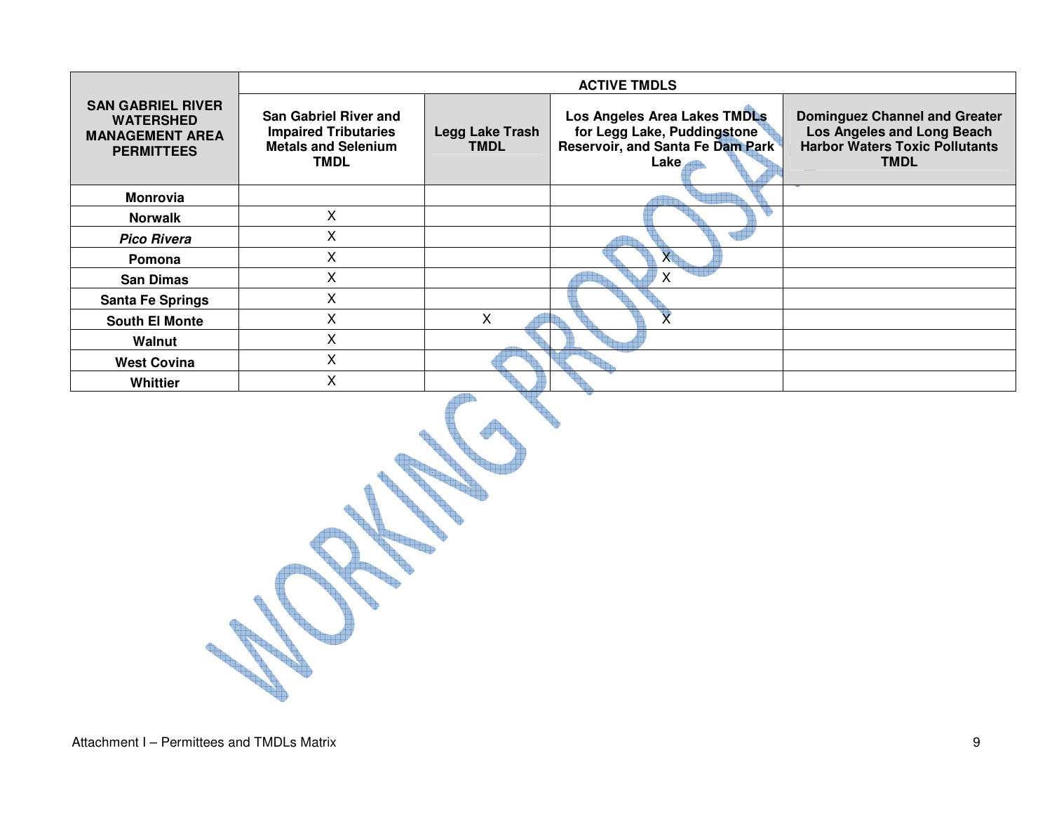|                                                                                             |                                                                                                          | <b>ACTIVE TMDLS</b>            |                                                                                                         |                                                                                                                            |  |  |  |  |  |  |
|---------------------------------------------------------------------------------------------|----------------------------------------------------------------------------------------------------------|--------------------------------|---------------------------------------------------------------------------------------------------------|----------------------------------------------------------------------------------------------------------------------------|--|--|--|--|--|--|
| <b>SAN GABRIEL RIVER</b><br><b>WATERSHED</b><br><b>MANAGEMENT AREA</b><br><b>PERMITTEES</b> | <b>San Gabriel River and</b><br><b>Impaired Tributaries</b><br><b>Metals and Selenium</b><br><b>TMDL</b> | Legg Lake Trash<br><b>TMDL</b> | Los Angeles Area Lakes TMDLs<br>for Legg Lake, Puddingstone<br>Reservoir, and Santa Fe Dam Park<br>Lake | <b>Dominguez Channel and Greater</b><br>Los Angeles and Long Beach<br><b>Harbor Waters Toxic Pollutants</b><br><b>TMDL</b> |  |  |  |  |  |  |
| <b>Monrovia</b>                                                                             |                                                                                                          |                                |                                                                                                         |                                                                                                                            |  |  |  |  |  |  |
| <b>Norwalk</b>                                                                              | X                                                                                                        |                                |                                                                                                         |                                                                                                                            |  |  |  |  |  |  |
| <b>Pico Rivera</b>                                                                          | X                                                                                                        |                                |                                                                                                         |                                                                                                                            |  |  |  |  |  |  |
| Pomona                                                                                      | X                                                                                                        |                                |                                                                                                         |                                                                                                                            |  |  |  |  |  |  |
| <b>San Dimas</b>                                                                            | Χ                                                                                                        |                                | x                                                                                                       |                                                                                                                            |  |  |  |  |  |  |
| <b>Santa Fe Springs</b>                                                                     | X                                                                                                        |                                |                                                                                                         |                                                                                                                            |  |  |  |  |  |  |
| <b>South El Monte</b>                                                                       | X                                                                                                        | X                              |                                                                                                         |                                                                                                                            |  |  |  |  |  |  |
| Walnut                                                                                      | X                                                                                                        |                                |                                                                                                         |                                                                                                                            |  |  |  |  |  |  |
| <b>West Covina</b>                                                                          | X                                                                                                        |                                |                                                                                                         |                                                                                                                            |  |  |  |  |  |  |
| <b>Whittier</b>                                                                             | Χ                                                                                                        |                                |                                                                                                         |                                                                                                                            |  |  |  |  |  |  |

in.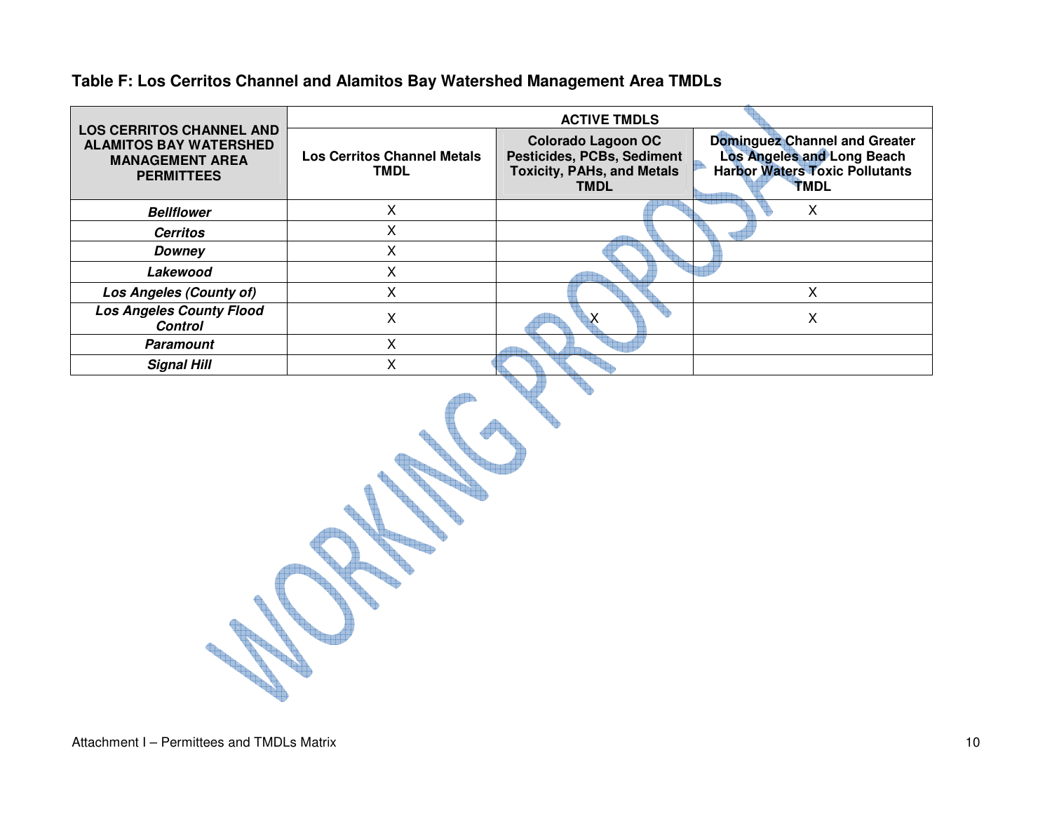|                                                                                                                 |                                            | <b>ACTIVE TMDLS</b>                                                                                         |                                                                                                                     |
|-----------------------------------------------------------------------------------------------------------------|--------------------------------------------|-------------------------------------------------------------------------------------------------------------|---------------------------------------------------------------------------------------------------------------------|
| <b>LOS CERRITOS CHANNEL AND</b><br><b>ALAMITOS BAY WATERSHED</b><br><b>MANAGEMENT AREA</b><br><b>PERMITTEES</b> | <b>Los Cerritos Channel Metals</b><br>TMDL | <b>Colorado Lagoon OC</b><br>Pesticides, PCBs, Sediment<br><b>Toxicity, PAHs, and Metals</b><br><b>TMDL</b> | <b>Dominguez Channel and Greater</b><br>Los Angeles and Long Beach<br><b>Harbor Waters Toxic Pollutants</b><br>TMDL |
| <b>Bellflower</b>                                                                                               |                                            |                                                                                                             | х                                                                                                                   |
| <b>Cerritos</b>                                                                                                 |                                            |                                                                                                             |                                                                                                                     |
| Downey                                                                                                          |                                            |                                                                                                             |                                                                                                                     |
| Lakewood                                                                                                        | x                                          |                                                                                                             |                                                                                                                     |
| Los Angeles (County of)                                                                                         | x                                          |                                                                                                             | x                                                                                                                   |
| <b>Los Angeles County Flood</b><br><b>Control</b>                                                               |                                            |                                                                                                             | Χ                                                                                                                   |
| <b>Paramount</b>                                                                                                |                                            |                                                                                                             |                                                                                                                     |
| <b>Signal Hill</b>                                                                                              | x                                          |                                                                                                             |                                                                                                                     |

#### **Table F: Los Cerritos Channel and Alamitos Bay Watershed Management Area TMDLs**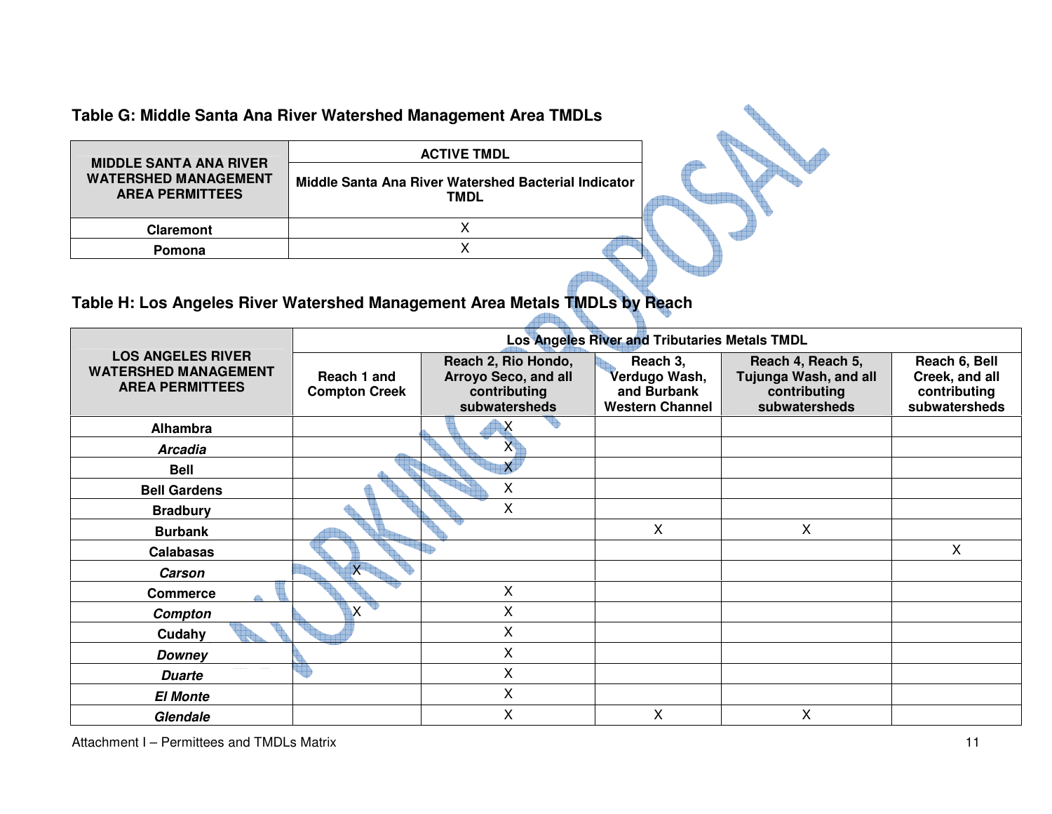**Table G: Middle Santa Ana River Watershed Management Area TMDLs** 

| <b>MIDDLE SANTA ANA RIVER</b>                         | <b>ACTIVE TMDL</b>                                           |  |
|-------------------------------------------------------|--------------------------------------------------------------|--|
| <b>WATERSHED MANAGEMENT</b><br><b>AREA PERMITTEES</b> | Middle Santa Ana River Watershed Bacterial Indicator<br>TMDL |  |
| <b>Claremont</b>                                      |                                                              |  |
| Pomona                                                |                                                              |  |

# **Table H: Los Angeles River Watershed Management Area Metals TMDLs by Reach**

|                                                                                   |                                     |                                                                              | Los Angeles River and Tributaries Metals TMDL                      |                                                                             |                                                                  |
|-----------------------------------------------------------------------------------|-------------------------------------|------------------------------------------------------------------------------|--------------------------------------------------------------------|-----------------------------------------------------------------------------|------------------------------------------------------------------|
| <b>LOS ANGELES RIVER</b><br><b>WATERSHED MANAGEMENT</b><br><b>AREA PERMITTEES</b> | Reach 1 and<br><b>Compton Creek</b> | Reach 2, Rio Hondo,<br>Arroyo Seco, and all<br>contributing<br>subwatersheds | Reach 3,<br>Verdugo Wash,<br>and Burbank<br><b>Western Channel</b> | Reach 4, Reach 5,<br>Tujunga Wash, and all<br>contributing<br>subwatersheds | Reach 6, Bell<br>Creek, and all<br>contributing<br>subwatersheds |
| <b>Alhambra</b>                                                                   |                                     | $\boldsymbol{\mathsf{X}}$                                                    |                                                                    |                                                                             |                                                                  |
| <b>Arcadia</b>                                                                    |                                     | $\mathsf{X}$                                                                 |                                                                    |                                                                             |                                                                  |
| <b>Bell</b>                                                                       |                                     | $\overline{\mathsf{x}}$                                                      |                                                                    |                                                                             |                                                                  |
| <b>Bell Gardens</b>                                                               |                                     | Χ                                                                            |                                                                    |                                                                             |                                                                  |
| <b>Bradbury</b>                                                                   |                                     | X                                                                            |                                                                    |                                                                             |                                                                  |
| <b>Burbank</b>                                                                    |                                     |                                                                              | X                                                                  | X                                                                           |                                                                  |
| <b>Calabasas</b>                                                                  |                                     |                                                                              |                                                                    |                                                                             | X                                                                |
| Carson                                                                            | $\overline{\mathsf{x}}$             |                                                                              |                                                                    |                                                                             |                                                                  |
| <b>Commerce</b>                                                                   |                                     | Χ                                                                            |                                                                    |                                                                             |                                                                  |
| Compton                                                                           | X                                   | Χ                                                                            |                                                                    |                                                                             |                                                                  |
| Cudahy                                                                            |                                     | X                                                                            |                                                                    |                                                                             |                                                                  |
| <b>Downey</b>                                                                     |                                     | X                                                                            |                                                                    |                                                                             |                                                                  |
| <b>Duarte</b>                                                                     |                                     | X                                                                            |                                                                    |                                                                             |                                                                  |
| <b>El Monte</b>                                                                   |                                     | Χ                                                                            |                                                                    |                                                                             |                                                                  |
| Glendale                                                                          |                                     | Χ                                                                            | X                                                                  | X                                                                           |                                                                  |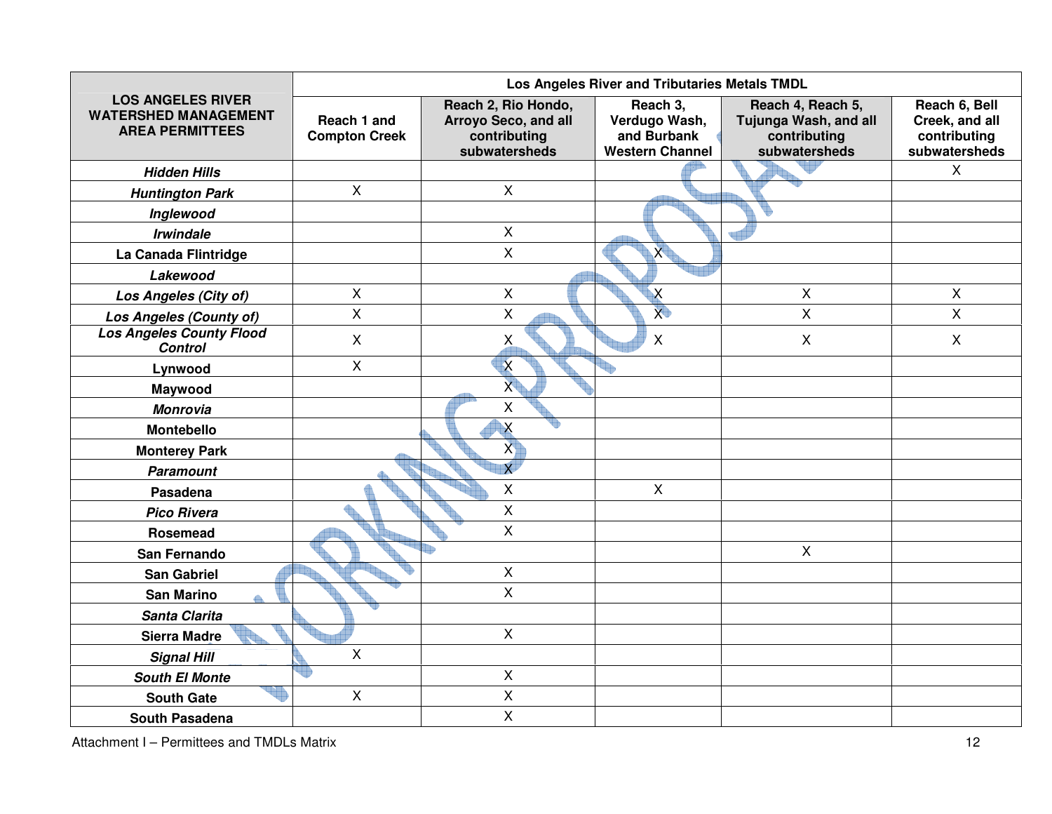|                                                                                   |                                     |                                                                                     | Los Angeles River and Tributaries Metals TMDL                      |                                                                             |                                                                  |
|-----------------------------------------------------------------------------------|-------------------------------------|-------------------------------------------------------------------------------------|--------------------------------------------------------------------|-----------------------------------------------------------------------------|------------------------------------------------------------------|
| <b>LOS ANGELES RIVER</b><br><b>WATERSHED MANAGEMENT</b><br><b>AREA PERMITTEES</b> | Reach 1 and<br><b>Compton Creek</b> | Reach 2, Rio Hondo,<br><b>Arroyo Seco, and all</b><br>contributing<br>subwatersheds | Reach 3,<br>Verdugo Wash,<br>and Burbank<br><b>Western Channel</b> | Reach 4, Reach 5,<br>Tujunga Wash, and all<br>contributing<br>subwatersheds | Reach 6, Bell<br>Creek, and all<br>contributing<br>subwatersheds |
| <b>Hidden Hills</b>                                                               |                                     |                                                                                     |                                                                    |                                                                             | $\mathsf{X}$                                                     |
| <b>Huntington Park</b>                                                            | $\pmb{\times}$                      | $\mathsf{X}$                                                                        |                                                                    |                                                                             |                                                                  |
| Inglewood                                                                         |                                     |                                                                                     |                                                                    |                                                                             |                                                                  |
| <b>Irwindale</b>                                                                  |                                     | $\mathsf{X}$                                                                        |                                                                    |                                                                             |                                                                  |
| La Canada Flintridge                                                              |                                     | $\mathsf{X}$                                                                        | $\overline{X}$                                                     |                                                                             |                                                                  |
| Lakewood                                                                          |                                     |                                                                                     |                                                                    |                                                                             |                                                                  |
| Los Angeles (City of)                                                             | X                                   | $\pmb{\times}$                                                                      | X                                                                  | $\pmb{\times}$                                                              | X                                                                |
| <b>Los Angeles (County of)</b>                                                    | X                                   | $\pmb{\times}$                                                                      | $\overline{X}$                                                     | $\mathsf{X}$                                                                | X                                                                |
| <b>Los Angeles County Flood</b><br><b>Control</b>                                 | X                                   | Χ                                                                                   | $\pmb{\times}$                                                     | $\pmb{\times}$                                                              | $\mathsf{X}$                                                     |
| Lynwood                                                                           | X                                   | $\boldsymbol{\mathsf{X}}$                                                           |                                                                    |                                                                             |                                                                  |
| Maywood                                                                           |                                     | $\overline{X}$                                                                      |                                                                    |                                                                             |                                                                  |
| <b>Monrovia</b>                                                                   |                                     | $\pmb{\times}$                                                                      |                                                                    |                                                                             |                                                                  |
| Montebello                                                                        |                                     | $\boldsymbol{\mathsf{X}}$                                                           |                                                                    |                                                                             |                                                                  |
| <b>Monterey Park</b>                                                              |                                     | $\mathbf{x}$                                                                        |                                                                    |                                                                             |                                                                  |
| <b>Paramount</b>                                                                  |                                     | $\overline{\mathsf{x}}$                                                             |                                                                    |                                                                             |                                                                  |
| Pasadena                                                                          |                                     | $\mathsf{X}$                                                                        | $\mathsf{X}$                                                       |                                                                             |                                                                  |
| <b>Pico Rivera</b>                                                                |                                     | X                                                                                   |                                                                    |                                                                             |                                                                  |
| Rosemead                                                                          |                                     | $\pmb{\times}$                                                                      |                                                                    |                                                                             |                                                                  |
| San Fernando                                                                      |                                     |                                                                                     |                                                                    | $\pmb{\times}$                                                              |                                                                  |
| <b>San Gabriel</b>                                                                |                                     | $\pmb{\times}$                                                                      |                                                                    |                                                                             |                                                                  |
| <b>San Marino</b>                                                                 |                                     | $\mathsf X$                                                                         |                                                                    |                                                                             |                                                                  |
| Santa Clarita                                                                     |                                     |                                                                                     |                                                                    |                                                                             |                                                                  |
| <b>Sierra Madre</b>                                                               |                                     | $\mathsf X$                                                                         |                                                                    |                                                                             |                                                                  |
| <b>Signal Hill</b>                                                                | $\pmb{\mathsf{X}}$                  |                                                                                     |                                                                    |                                                                             |                                                                  |
| <b>South El Monte</b>                                                             | ٣                                   | $\mathsf{X}$                                                                        |                                                                    |                                                                             |                                                                  |
| <b>South Gate</b>                                                                 | $\sf X$                             | $\mathsf X$                                                                         |                                                                    |                                                                             |                                                                  |
| <b>South Pasadena</b>                                                             |                                     | $\pmb{\times}$                                                                      |                                                                    |                                                                             |                                                                  |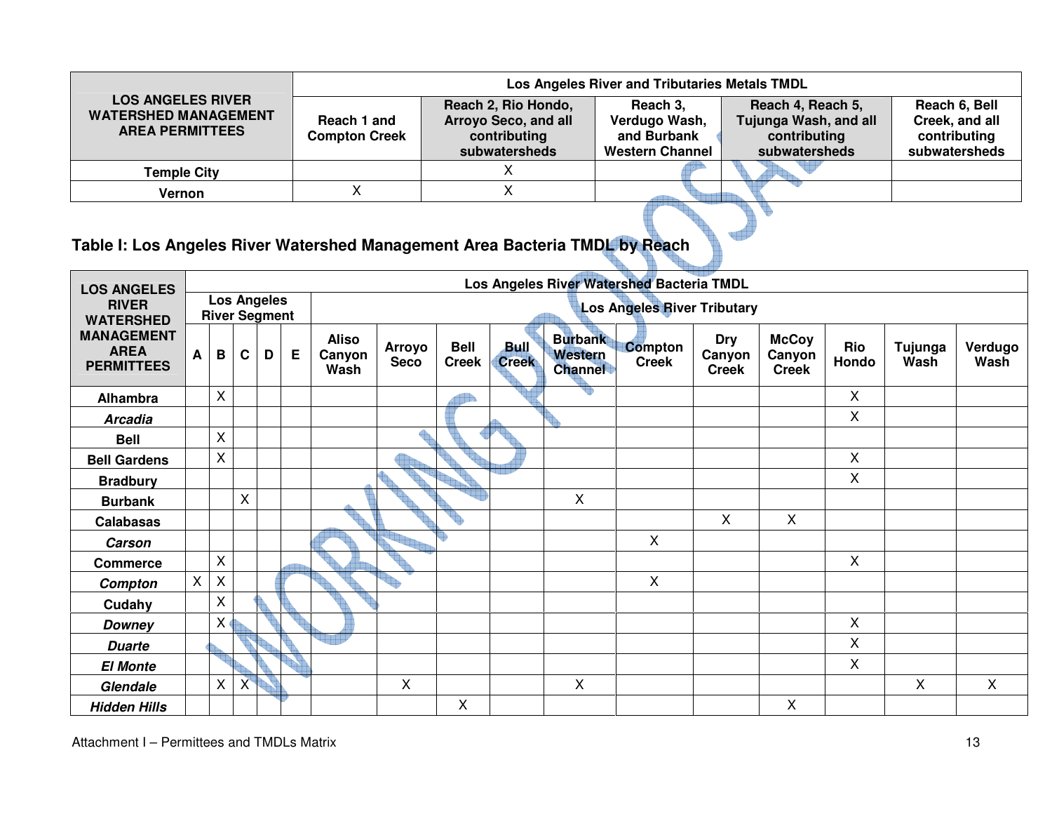|                                                                                   |                                     | Los Angeles River and Tributaries Metals TMDL                                |                                                                    |                                                                             |                                                                  |  |  |  |  |  |  |  |  |
|-----------------------------------------------------------------------------------|-------------------------------------|------------------------------------------------------------------------------|--------------------------------------------------------------------|-----------------------------------------------------------------------------|------------------------------------------------------------------|--|--|--|--|--|--|--|--|
| <b>LOS ANGELES RIVER</b><br><b>WATERSHED MANAGEMENT</b><br><b>AREA PERMITTEES</b> | Reach 1 and<br><b>Compton Creek</b> | Reach 2, Rio Hondo,<br>Arroyo Seco, and all<br>contributing<br>subwatersheds | Reach 3,<br>Verdugo Wash,<br>and Burbank<br><b>Western Channel</b> | Reach 4, Reach 5,<br>Tujunga Wash, and all<br>contributing<br>subwatersheds | Reach 6, Bell<br>Creek, and all<br>contributing<br>subwatersheds |  |  |  |  |  |  |  |  |
| <b>Temple City</b>                                                                |                                     |                                                                              |                                                                    |                                                                             |                                                                  |  |  |  |  |  |  |  |  |
| Vernon                                                                            |                                     |                                                                              |                                                                    |                                                                             |                                                                  |  |  |  |  |  |  |  |  |
|                                                                                   |                                     |                                                                              |                                                                    |                                                                             |                                                                  |  |  |  |  |  |  |  |  |

### **Table I: Los Angeles River Watershed Management Area Bacteria TMDL by Reach**

| <b>LOS ANGELES</b>                                    |                |              |   |                                            |   |                                |                                    |                             |                             |                                             | Los Angeles River Watershed Bacteria TMDL |                                      |                                        |              |                 |                 |
|-------------------------------------------------------|----------------|--------------|---|--------------------------------------------|---|--------------------------------|------------------------------------|-----------------------------|-----------------------------|---------------------------------------------|-------------------------------------------|--------------------------------------|----------------------------------------|--------------|-----------------|-----------------|
| <b>RIVER</b><br><b>WATERSHED</b>                      |                |              |   | <b>Los Angeles</b><br><b>River Segment</b> |   |                                | <b>Los Angeles River Tributary</b> |                             |                             |                                             |                                           |                                      |                                        |              |                 |                 |
| <b>MANAGEMENT</b><br><b>AREA</b><br><b>PERMITTEES</b> | A              | B            | C | D                                          | E | <b>Aliso</b><br>Canyon<br>Wash | <b>Arroyo</b><br><b>Seco</b>       | <b>Bell</b><br><b>Creek</b> | <b>Bull</b><br><b>Creek</b> | <b>Burbank</b><br>Western<br><b>Channel</b> | <b>Compton</b><br><b>Creek</b>            | <b>Dry</b><br>Canyon<br><b>Creek</b> | <b>McCoy</b><br>Canyon<br><b>Creek</b> | Rio<br>Hondo | Tujunga<br>Wash | Verdugo<br>Wash |
| Alhambra                                              |                | $\times$     |   |                                            |   |                                |                                    |                             |                             | ŧ                                           |                                           |                                      |                                        | $\mathsf{X}$ |                 |                 |
| <b>Arcadia</b>                                        |                |              |   |                                            |   |                                |                                    |                             |                             |                                             |                                           |                                      |                                        | X            |                 |                 |
| <b>Bell</b>                                           |                | $\sf X$      |   |                                            |   |                                |                                    |                             |                             |                                             |                                           |                                      |                                        |              |                 |                 |
| <b>Bell Gardens</b>                                   |                | $\times$     |   |                                            |   |                                |                                    |                             |                             |                                             |                                           |                                      |                                        | $\mathsf{X}$ |                 |                 |
| <b>Bradbury</b>                                       |                |              |   |                                            |   |                                |                                    |                             |                             |                                             |                                           |                                      |                                        | X            |                 |                 |
| <b>Burbank</b>                                        |                |              | X |                                            |   |                                |                                    |                             |                             | $\sf X$                                     |                                           |                                      |                                        |              |                 |                 |
| <b>Calabasas</b>                                      |                |              |   |                                            |   |                                |                                    |                             |                             |                                             |                                           | $\mathsf{X}$                         | X                                      |              |                 |                 |
| <b>Carson</b>                                         |                |              |   |                                            |   |                                |                                    |                             |                             |                                             | $\boldsymbol{\mathsf{X}}$                 |                                      |                                        |              |                 |                 |
| <b>Commerce</b>                                       |                | $\mathsf{X}$ |   |                                            |   |                                |                                    |                             |                             |                                             |                                           |                                      |                                        | $\mathsf{X}$ |                 |                 |
| Compton                                               | $\pmb{\times}$ | $\sf X$      |   |                                            |   |                                |                                    |                             |                             |                                             | $\boldsymbol{\mathsf{X}}$                 |                                      |                                        |              |                 |                 |
| Cudahy                                                |                | $\mathsf X$  |   |                                            |   |                                |                                    |                             |                             |                                             |                                           |                                      |                                        |              |                 |                 |
| Downey                                                |                | $\sf X$      |   |                                            |   |                                |                                    |                             |                             |                                             |                                           |                                      |                                        | X            |                 |                 |
| <b>Duarte</b>                                         |                |              |   |                                            |   |                                |                                    |                             |                             |                                             |                                           |                                      |                                        | X            |                 |                 |
| <b>El Monte</b>                                       |                |              |   |                                            |   |                                |                                    |                             |                             |                                             |                                           |                                      |                                        | X            |                 |                 |
| Glendale                                              |                | $\mathsf{X}$ | X |                                            |   |                                | X                                  |                             |                             | $\sf X$                                     |                                           |                                      |                                        |              | X               | X               |
| <b>Hidden Hills</b>                                   |                |              |   |                                            |   |                                |                                    | X                           |                             |                                             |                                           |                                      | X                                      |              |                 |                 |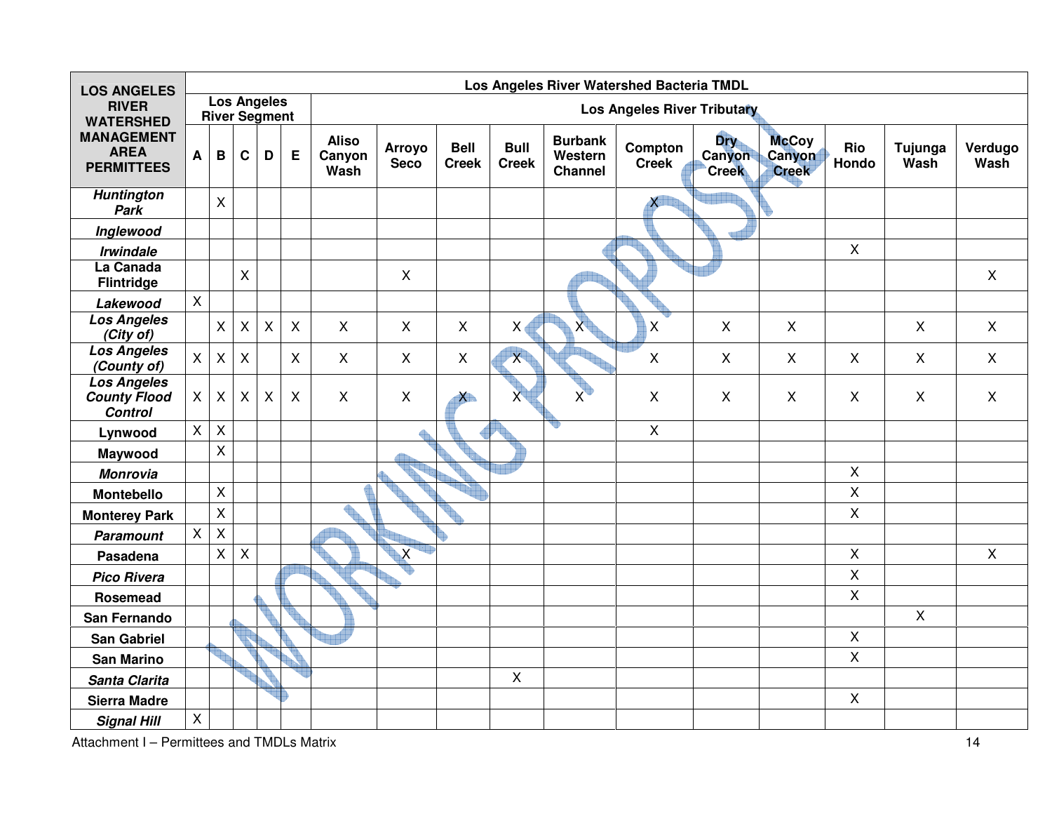| <b>LOS ANGELES</b>                                          |                | Los Angeles River Watershed Bacteria TMDL  |                |                |                           |                                |                              |                             |                             |                                             |                             |                               |                                        |                |                 |                 |
|-------------------------------------------------------------|----------------|--------------------------------------------|----------------|----------------|---------------------------|--------------------------------|------------------------------|-----------------------------|-----------------------------|---------------------------------------------|-----------------------------|-------------------------------|----------------------------------------|----------------|-----------------|-----------------|
| <b>RIVER</b><br><b>WATERSHED</b>                            |                | <b>Los Angeles</b><br><b>River Segment</b> |                |                |                           |                                |                              |                             |                             |                                             | Los Angeles River Tributary |                               |                                        |                |                 |                 |
| <b>MANAGEMENT</b><br><b>AREA</b><br><b>PERMITTEES</b>       | $\mathsf{A}$   | $\, {\bf B}$                               | C              | D              | E                         | <b>Aliso</b><br>Canyon<br>Wash | <b>Arroyo</b><br><b>Seco</b> | <b>Bell</b><br><b>Creek</b> | <b>Bull</b><br><b>Creek</b> | <b>Burbank</b><br>Western<br><b>Channel</b> | Compton<br><b>Creek</b>     | Dry<br>Canyon<br><b>Creek</b> | <b>McCoy</b><br>Canyon<br><b>Creek</b> | Rio<br>Hondo   | Tujunga<br>Wash | Verdugo<br>Wash |
| <b>Huntington</b><br>Park                                   |                | $\mathsf{X}$                               |                |                |                           |                                |                              |                             |                             |                                             | $\mathsf{X}$                |                               |                                        |                |                 |                 |
| Inglewood                                                   |                |                                            |                |                |                           |                                |                              |                             |                             |                                             |                             |                               |                                        |                |                 |                 |
| <b>Irwindale</b>                                            |                |                                            |                |                |                           |                                |                              |                             |                             |                                             |                             |                               |                                        | $\mathsf{X}$   |                 |                 |
| La Canada<br><b>Flintridge</b>                              |                |                                            | X              |                |                           |                                | $\mathsf{X}$                 |                             |                             |                                             |                             |                               |                                        |                |                 | $\mathsf{X}$    |
| Lakewood                                                    | X              |                                            |                |                |                           |                                |                              |                             |                             |                                             |                             |                               |                                        |                |                 |                 |
| <b>Los Angeles</b><br>(City of)                             |                | $\mathsf{X}$                               | X              | $\pmb{\times}$ | $\boldsymbol{\mathsf{X}}$ | $\pmb{\times}$                 | $\mathsf{X}$                 | $\mathsf{X}$                | X <sub>d</sub>              | X                                           | X                           | $\pmb{\times}$                | $\boldsymbol{\mathsf{X}}$              |                | $\mathsf{X}$    | $\mathsf{X}$    |
| <b>Los Angeles</b><br>(County of)                           | $\mathsf{X}^-$ | $\mathsf{X}$                               | $\pmb{\times}$ |                | X                         | $\mathsf{X}$                   | X                            | X                           | X                           |                                             | X                           | $\mathsf{X}$                  | X                                      | X              | X               | $\mathsf{X}$    |
| <b>Los Angeles</b><br><b>County Flood</b><br><b>Control</b> | $\mathsf{X}$   | $\mathsf{X}$                               | X              | X              | $\boldsymbol{\mathsf{X}}$ | $\mathsf{X}$                   | $\pmb{\times}$               | $X_{\Box}$                  | X                           | $\overline{x}$                              | $\mathsf{X}$                | $\mathsf{X}$                  | $\mathsf{X}$                           | $\mathsf{X}$   | X               | $\mathsf{X}$    |
| Lynwood                                                     | $\mathsf{X}^-$ | $\mathsf X$                                |                |                |                           |                                |                              |                             |                             | Ð                                           | $\mathsf{X}$                |                               |                                        |                |                 |                 |
| Maywood                                                     |                | $\mathsf{X}$                               |                |                |                           |                                |                              |                             |                             |                                             |                             |                               |                                        |                |                 |                 |
| <b>Monrovia</b>                                             |                |                                            |                |                |                           |                                |                              |                             |                             |                                             |                             |                               |                                        | X              |                 |                 |
| <b>Montebello</b>                                           |                | $\mathsf X$                                |                |                |                           |                                |                              |                             |                             |                                             |                             |                               |                                        | $\mathsf{X}$   |                 |                 |
| <b>Monterey Park</b>                                        |                | $\pmb{\times}$                             |                |                |                           |                                |                              |                             |                             |                                             |                             |                               |                                        | $\mathsf X$    |                 |                 |
| <b>Paramount</b>                                            | $\mathsf{X}^-$ | $\mathsf X$                                |                |                |                           |                                |                              |                             |                             |                                             |                             |                               |                                        |                |                 |                 |
| Pasadena                                                    |                | $\mathsf{X}$                               | $\mathsf{X}$   |                |                           |                                | $\overline{\mathsf{X}}$      |                             |                             |                                             |                             |                               |                                        | $\mathsf{X}$   |                 | $\mathsf{X}$    |
| <b>Pico Rivera</b>                                          |                |                                            |                |                |                           |                                |                              |                             |                             |                                             |                             |                               |                                        | $\mathsf{X}$   |                 |                 |
| Rosemead                                                    |                |                                            |                |                |                           |                                |                              |                             |                             |                                             |                             |                               |                                        | $\mathsf{X}$   |                 |                 |
| San Fernando                                                |                |                                            |                |                |                           |                                |                              |                             |                             |                                             |                             |                               |                                        |                | X               |                 |
| <b>San Gabriel</b>                                          |                |                                            |                |                |                           |                                |                              |                             |                             |                                             |                             |                               |                                        | $\pmb{\times}$ |                 |                 |
| <b>San Marino</b>                                           |                |                                            |                |                |                           |                                |                              |                             |                             |                                             |                             |                               |                                        | $\mathsf X$    |                 |                 |
| Santa Clarita                                               |                |                                            |                |                |                           |                                |                              |                             | X                           |                                             |                             |                               |                                        |                |                 |                 |
| <b>Sierra Madre</b>                                         |                |                                            |                |                |                           |                                |                              |                             |                             |                                             |                             |                               |                                        | $\mathsf{X}$   |                 |                 |
| <b>Signal Hill</b>                                          | $\mathsf X$    |                                            |                |                |                           |                                |                              |                             |                             |                                             |                             |                               |                                        |                |                 |                 |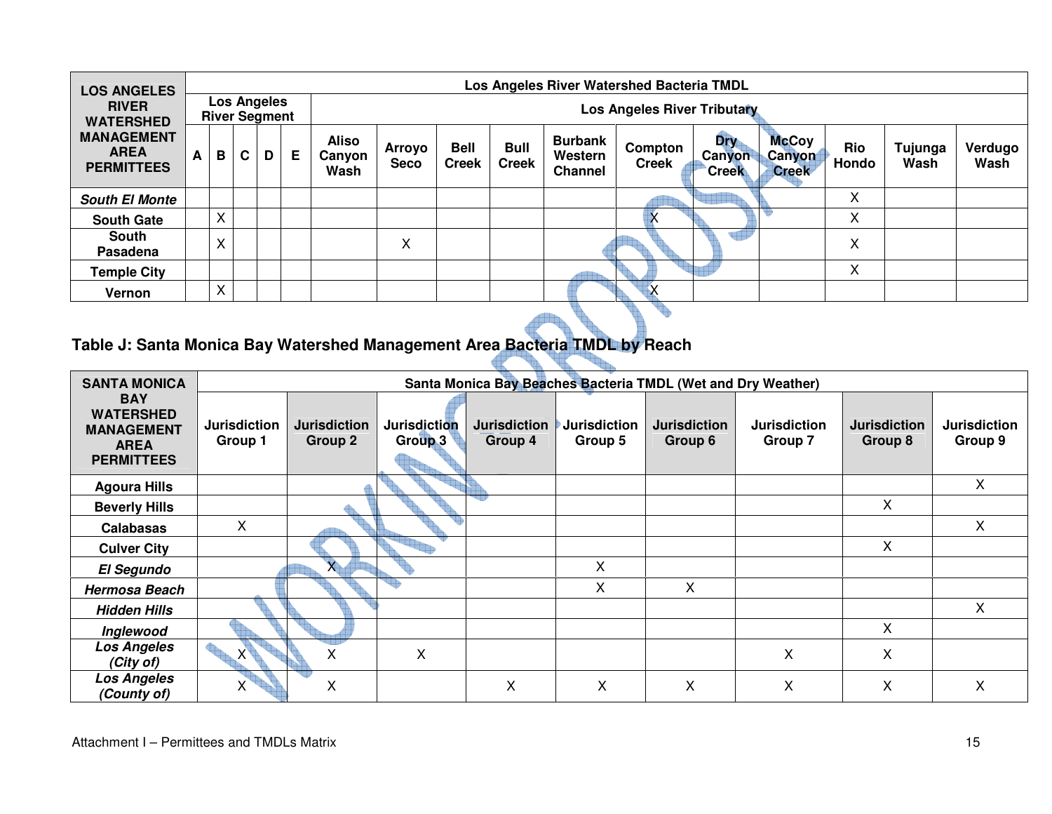| <b>LOS ANGELES</b>                                    |   | Los Angeles River Watershed Bacteria TMDL |   |                                            |   |                                |                       |                             |                             |                                             |                         |                                             |                                        |                     |                 |                 |
|-------------------------------------------------------|---|-------------------------------------------|---|--------------------------------------------|---|--------------------------------|-----------------------|-----------------------------|-----------------------------|---------------------------------------------|-------------------------|---------------------------------------------|----------------------------------------|---------------------|-----------------|-----------------|
| <b>RIVER</b><br><b>WATERSHED</b>                      |   |                                           |   | <b>Los Angeles</b><br><b>River Segment</b> |   | Los Angeles River Tributary    |                       |                             |                             |                                             |                         |                                             |                                        |                     |                 |                 |
| <b>MANAGEMENT</b><br><b>AREA</b><br><b>PERMITTEES</b> | A | B                                         | C | D                                          | Е | <b>Aliso</b><br>Canyon<br>Wash | Arroyo<br><b>Seco</b> | <b>Bell</b><br><b>Creek</b> | <b>Bull</b><br><b>Creek</b> | <b>Burbank</b><br>Western<br><b>Channel</b> | Compton<br><b>Creek</b> | <b>Dry</b><br><b>Canyon</b><br><b>Creek</b> | <b>McCoy</b><br>Canyon<br><b>Creek</b> | <b>Rio</b><br>Hondo | Tujunga<br>Wash | Verdugo<br>Wash |
| <b>South El Monte</b>                                 |   |                                           |   |                                            |   |                                |                       |                             |                             |                                             |                         |                                             |                                        | X                   |                 |                 |
| <b>South Gate</b>                                     |   | X                                         |   |                                            |   |                                |                       |                             |                             |                                             |                         |                                             |                                        | X                   |                 |                 |
| <b>South</b><br>Pasadena                              |   | $\checkmark$<br>⋏                         |   |                                            |   |                                | X                     |                             |                             |                                             |                         |                                             |                                        | X                   |                 |                 |
| <b>Temple City</b>                                    |   |                                           |   |                                            |   |                                |                       |                             |                             |                                             |                         |                                             |                                        | X                   |                 |                 |
| Vernon                                                |   | $\checkmark$<br>$\sim$                    |   |                                            |   |                                |                       |                             |                             |                                             |                         |                                             |                                        |                     |                 |                 |
|                                                       |   |                                           |   |                                            |   |                                |                       |                             |                             |                                             |                         |                                             |                                        |                     |                 |                 |

#### **Table J: Santa Monica Bay Watershed Management Area Bacteria TMDL by Reach**

| <b>SANTA MONICA</b>                                                                     |                                |                                |                                |                                |                                | Santa Monica Bay Beaches Bacteria TMDL (Wet and Dry Weather) |                                |                                |                                |
|-----------------------------------------------------------------------------------------|--------------------------------|--------------------------------|--------------------------------|--------------------------------|--------------------------------|--------------------------------------------------------------|--------------------------------|--------------------------------|--------------------------------|
| <b>BAY</b><br><b>WATERSHED</b><br><b>MANAGEMENT</b><br><b>AREA</b><br><b>PERMITTEES</b> | <b>Jurisdiction</b><br>Group 1 | <b>Jurisdiction</b><br>Group 2 | <b>Jurisdiction</b><br>Group 3 | <b>Jurisdiction</b><br>Group 4 | <b>Jurisdiction</b><br>Group 5 | <b>Jurisdiction</b><br>Group 6                               | <b>Jurisdiction</b><br>Group 7 | <b>Jurisdiction</b><br>Group 8 | <b>Jurisdiction</b><br>Group 9 |
| <b>Agoura Hills</b>                                                                     |                                |                                |                                |                                |                                |                                                              |                                |                                | X                              |
| <b>Beverly Hills</b>                                                                    |                                |                                |                                |                                |                                |                                                              |                                | X                              |                                |
| <b>Calabasas</b>                                                                        | X                              |                                |                                |                                |                                |                                                              |                                |                                | X                              |
| <b>Culver City</b>                                                                      |                                |                                |                                |                                |                                |                                                              |                                | X                              |                                |
| <b>El Segundo</b>                                                                       |                                | $X_{\perp}$                    |                                |                                | X                              |                                                              |                                |                                |                                |
| <b>Hermosa Beach</b>                                                                    |                                |                                |                                |                                | X                              | X                                                            |                                |                                |                                |
| <b>Hidden Hills</b>                                                                     |                                |                                |                                |                                |                                |                                                              |                                |                                | X                              |
| Inglewood                                                                               |                                |                                |                                |                                |                                |                                                              |                                | $\mathsf{X}$                   |                                |
| <b>Los Angeles</b><br>(City of)                                                         | $X^+$                          | Χ                              | X                              |                                |                                |                                                              | X                              | X                              |                                |
| <b>Los Angeles</b><br>(County of)                                                       | Χ                              | X                              |                                | Χ                              | X                              | Χ                                                            | Χ                              | X                              | X                              |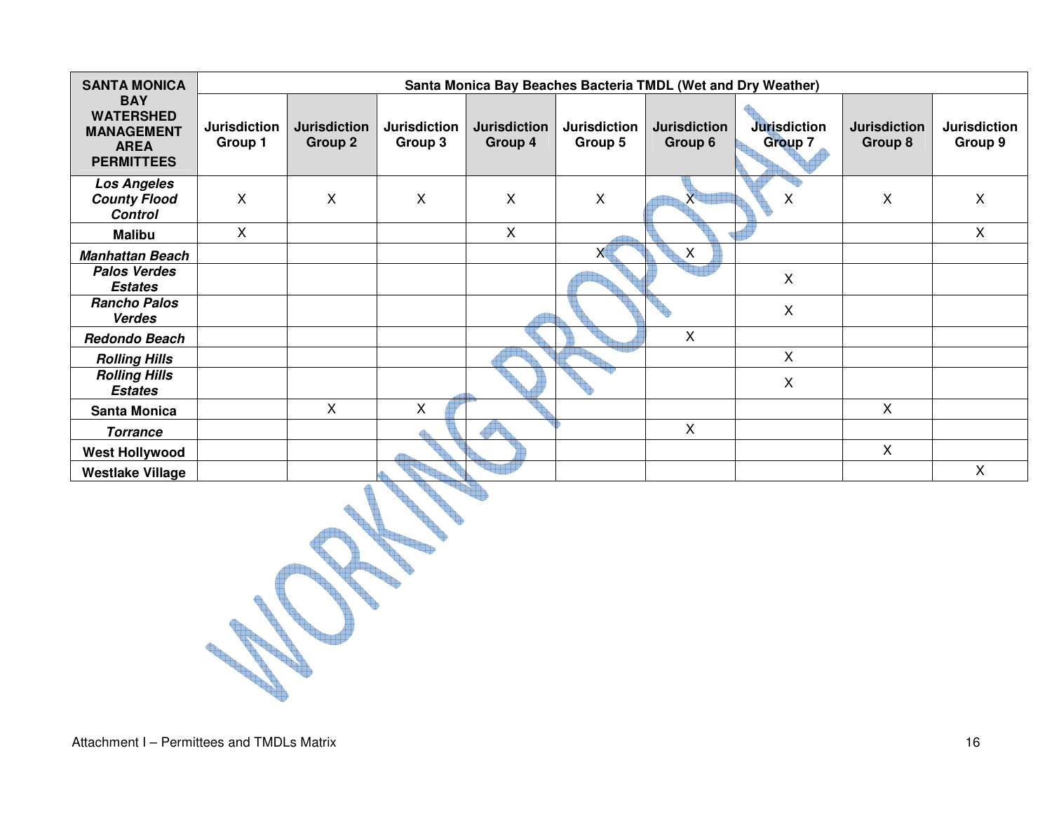| <b>SANTA MONICA</b>                                                                     |                                |                                       |                                |                                |                                | Santa Monica Bay Beaches Bacteria TMDL (Wet and Dry Weather) |                         |                                |                                |
|-----------------------------------------------------------------------------------------|--------------------------------|---------------------------------------|--------------------------------|--------------------------------|--------------------------------|--------------------------------------------------------------|-------------------------|--------------------------------|--------------------------------|
| <b>BAY</b><br><b>WATERSHED</b><br><b>MANAGEMENT</b><br><b>AREA</b><br><b>PERMITTEES</b> | <b>Jurisdiction</b><br>Group 1 | <b>Jurisdiction</b><br><b>Group 2</b> | <b>Jurisdiction</b><br>Group 3 | <b>Jurisdiction</b><br>Group 4 | <b>Jurisdiction</b><br>Group 5 | <b>Jurisdiction</b><br>Group 6                               | Jurisdiction<br>Group 7 | <b>Jurisdiction</b><br>Group 8 | <b>Jurisdiction</b><br>Group 9 |
| <b>Los Angeles</b><br><b>County Flood</b><br><b>Control</b>                             | X                              | $\boldsymbol{\mathsf{X}}$             | $\boldsymbol{\mathsf{X}}$      | $\mathsf{X}$                   | $\pmb{\times}$                 |                                                              | Χ                       | $\mathsf{X}$                   | X                              |
| <b>Malibu</b>                                                                           | X                              |                                       |                                | X                              |                                |                                                              |                         |                                | $\mathsf{X}$                   |
| <b>Manhattan Beach</b>                                                                  |                                |                                       |                                |                                | x                              | X                                                            |                         |                                |                                |
| <b>Palos Verdes</b><br><b>Estates</b>                                                   |                                |                                       |                                |                                |                                |                                                              | X                       |                                |                                |
| <b>Rancho Palos</b><br><b>Verdes</b>                                                    |                                |                                       |                                |                                |                                |                                                              | X                       |                                |                                |
| <b>Redondo Beach</b>                                                                    |                                |                                       |                                |                                |                                | X                                                            |                         |                                |                                |
| <b>Rolling Hills</b>                                                                    |                                |                                       |                                |                                |                                |                                                              | X                       |                                |                                |
| <b>Rolling Hills</b><br><b>Estates</b>                                                  |                                |                                       |                                |                                |                                |                                                              | X                       |                                |                                |
| <b>Santa Monica</b>                                                                     |                                | X                                     | X                              |                                |                                |                                                              |                         | X                              |                                |
| <b>Torrance</b>                                                                         |                                |                                       |                                |                                |                                | X                                                            |                         |                                |                                |
| <b>West Hollywood</b>                                                                   |                                |                                       |                                |                                |                                |                                                              |                         | $\sf X$                        |                                |
| <b>Westlake Village</b>                                                                 |                                |                                       |                                |                                |                                |                                                              |                         |                                | X                              |

e e e ₩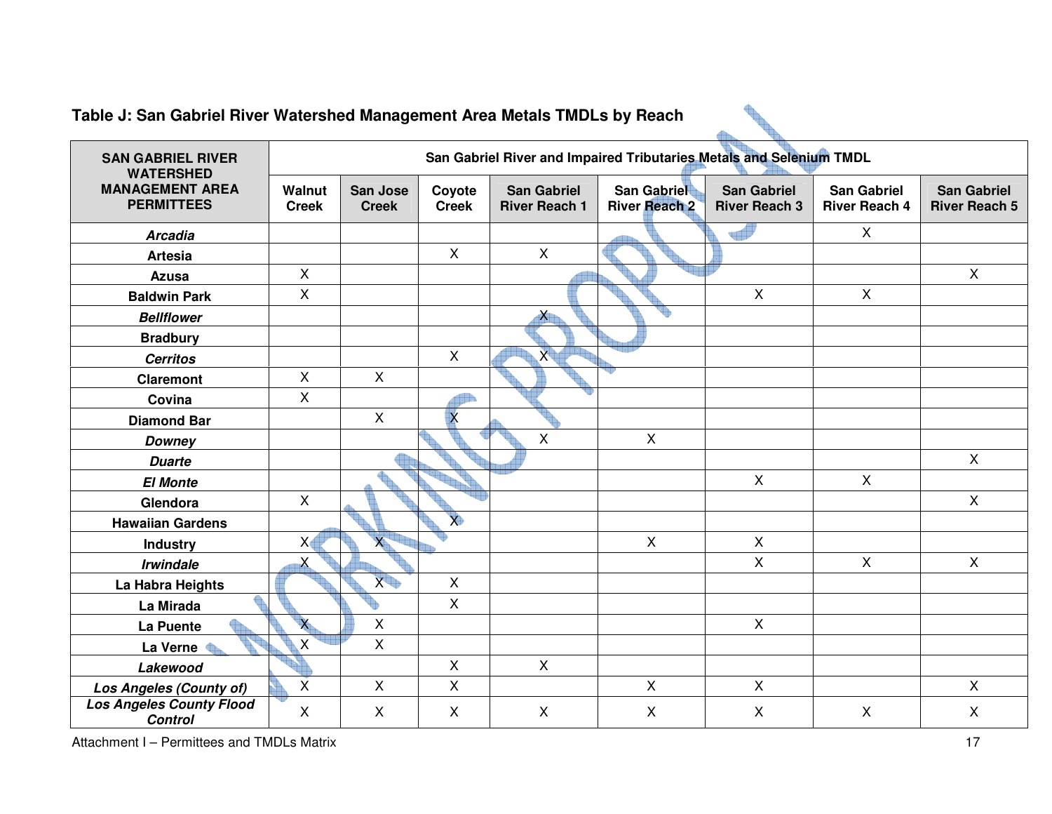| Table J: San Gabriel River Watershed Management Area Metals TMDLs by Reach |                               |                          |                         |                                            |                                                                     |                                            |                                            |                                            |
|----------------------------------------------------------------------------|-------------------------------|--------------------------|-------------------------|--------------------------------------------|---------------------------------------------------------------------|--------------------------------------------|--------------------------------------------|--------------------------------------------|
| <b>SAN GABRIEL RIVER</b><br><b>WATERSHED</b>                               |                               |                          |                         |                                            | San Gabriel River and Impaired Tributaries Metals and Selenium TMDL |                                            |                                            |                                            |
| <b>MANAGEMENT AREA</b><br><b>PERMITTEES</b>                                | <b>Walnut</b><br><b>Creek</b> | San Jose<br><b>Creek</b> | Coyote<br><b>Creek</b>  | <b>San Gabriel</b><br><b>River Reach 1</b> | <b>San Gabriel</b><br><b>River Reach 2</b>                          | <b>San Gabriel</b><br><b>River Reach 3</b> | <b>San Gabriel</b><br><b>River Reach 4</b> | <b>San Gabriel</b><br><b>River Reach 5</b> |
| <b>Arcadia</b>                                                             |                               |                          |                         |                                            |                                                                     |                                            | $\mathsf{X}$                               |                                            |
| <b>Artesia</b>                                                             |                               |                          | $\mathsf{X}$            | $\mathsf{X}$                               |                                                                     |                                            |                                            |                                            |
| <b>Azusa</b>                                                               | $\mathsf{X}$                  |                          |                         |                                            |                                                                     |                                            |                                            | $\mathsf{X}$                               |
| <b>Baldwin Park</b>                                                        | $\mathsf{X}$                  |                          |                         |                                            |                                                                     | $\mathsf{X}$                               | $\mathsf{X}$                               |                                            |
| <b>Bellflower</b>                                                          |                               |                          |                         | $\boldsymbol{\lambda}$                     |                                                                     |                                            |                                            |                                            |
| <b>Bradbury</b>                                                            |                               |                          |                         |                                            |                                                                     |                                            |                                            |                                            |
| <b>Cerritos</b>                                                            |                               |                          | $\mathsf{X}$            | $\overline{X}$                             |                                                                     |                                            |                                            |                                            |
| <b>Claremont</b>                                                           | $\mathsf{X}$                  | $\mathsf{X}$             |                         |                                            |                                                                     |                                            |                                            |                                            |
| Covina                                                                     | X                             |                          |                         |                                            |                                                                     |                                            |                                            |                                            |
| <b>Diamond Bar</b>                                                         |                               | $\mathsf{X}$             | $\overline{\mathsf{x}}$ |                                            |                                                                     |                                            |                                            |                                            |
| <b>Downey</b>                                                              |                               |                          |                         | $\pmb{\times}$                             | $\mathsf{X}$                                                        |                                            |                                            |                                            |
| <b>Duarte</b>                                                              |                               |                          |                         |                                            |                                                                     |                                            |                                            | $\mathsf{X}$                               |
| <b>El Monte</b>                                                            |                               |                          |                         |                                            |                                                                     | $\mathsf{X}$                               | $\mathsf{X}$                               |                                            |
| Glendora                                                                   | $\mathsf{X}$                  |                          |                         |                                            |                                                                     |                                            |                                            | $\mathsf{X}$                               |
| <b>Hawaiian Gardens</b>                                                    |                               |                          | $\chi$                  |                                            |                                                                     |                                            |                                            |                                            |
| Industry                                                                   | X <sub>4</sub>                | $\mathsf{X}$             |                         |                                            | $\mathsf{X}$                                                        | $\mathsf{X}$                               |                                            |                                            |
| <b>Irwindale</b>                                                           | X                             |                          |                         |                                            |                                                                     | $\mathsf{X}$                               | $\mathsf{X}$                               | $\mathsf{X}$                               |
| La Habra Heights                                                           |                               | $X +$                    | $\mathsf{X}$            |                                            |                                                                     |                                            |                                            |                                            |
| La Mirada                                                                  |                               |                          | $\pmb{\times}$          |                                            |                                                                     |                                            |                                            |                                            |
| La Puente                                                                  | $\mathsf{X}$                  | X                        |                         |                                            |                                                                     | $\mathsf{X}$                               |                                            |                                            |
| La Verne <                                                                 | X                             | $\mathsf{X}$             |                         |                                            |                                                                     |                                            |                                            |                                            |
| Lakewood                                                                   |                               |                          | $\pmb{\times}$          | $\mathsf X$                                |                                                                     |                                            |                                            |                                            |
| Los Angeles (County of)                                                    | X                             | $\mathsf{X}$             | $\mathsf{X}$            |                                            | $\mathsf{X}$                                                        | $\mathsf{X}$                               |                                            | $\mathsf{X}$                               |
| <b>Los Angeles County Flood</b><br><b>Control</b>                          | X                             | X                        | $\mathsf{X}$            | $\mathsf{X}$                               | $\mathsf{X}$                                                        | $\boldsymbol{\mathsf{X}}$                  | $\mathsf{X}$                               | X                                          |

# **Table J: San Gabriel River Watershed Management Area Metals TMDLs by Reach**